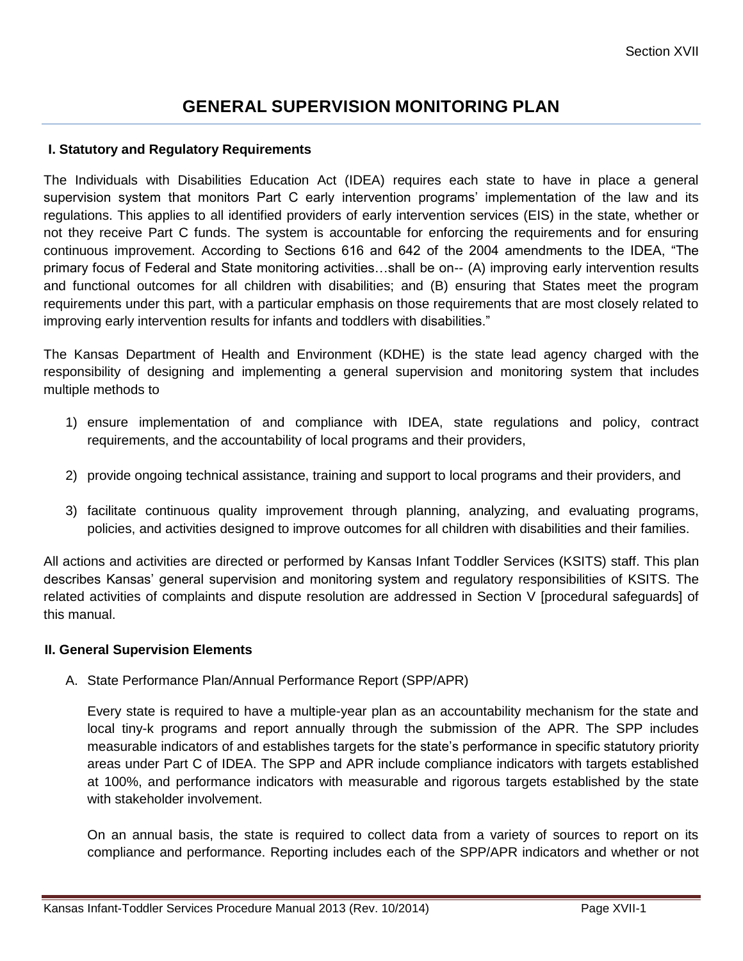# **GENERAL SUPERVISION MONITORING PLAN**

#### **I. Statutory and Regulatory Requirements**

The Individuals with Disabilities Education Act (IDEA) requires each state to have in place a general supervision system that monitors Part C early intervention programs' implementation of the law and its regulations. This applies to all identified providers of early intervention services (EIS) in the state, whether or not they receive Part C funds. The system is accountable for enforcing the requirements and for ensuring continuous improvement. According to Sections 616 and 642 of the 2004 amendments to the IDEA, "The primary focus of Federal and State monitoring activities…shall be on-- (A) improving early intervention results and functional outcomes for all children with disabilities; and (B) ensuring that States meet the program requirements under this part, with a particular emphasis on those requirements that are most closely related to improving early intervention results for infants and toddlers with disabilities."

The Kansas Department of Health and Environment (KDHE) is the state lead agency charged with the responsibility of designing and implementing a general supervision and monitoring system that includes multiple methods to

- 1) ensure implementation of and compliance with IDEA, state regulations and policy, contract requirements, and the accountability of local programs and their providers,
- 2) provide ongoing technical assistance, training and support to local programs and their providers, and
- 3) facilitate continuous quality improvement through planning, analyzing, and evaluating programs, policies, and activities designed to improve outcomes for all children with disabilities and their families.

All actions and activities are directed or performed by Kansas Infant Toddler Services (KSITS) staff. This plan describes Kansas' general supervision and monitoring system and regulatory responsibilities of KSITS. The related activities of complaints and dispute resolution are addressed in Section V [procedural safeguards] of this manual.

#### **II. General Supervision Elements**

A. State Performance Plan/Annual Performance Report (SPP/APR)

Every state is required to have a multiple-year plan as an accountability mechanism for the state and local tiny-k programs and report annually through the submission of the APR. The SPP includes measurable indicators of and establishes targets for the state's performance in specific statutory priority areas under Part C of IDEA. The SPP and APR include compliance indicators with targets established at 100%, and performance indicators with measurable and rigorous targets established by the state with stakeholder involvement.

On an annual basis, the state is required to collect data from a variety of sources to report on its compliance and performance. Reporting includes each of the SPP/APR indicators and whether or not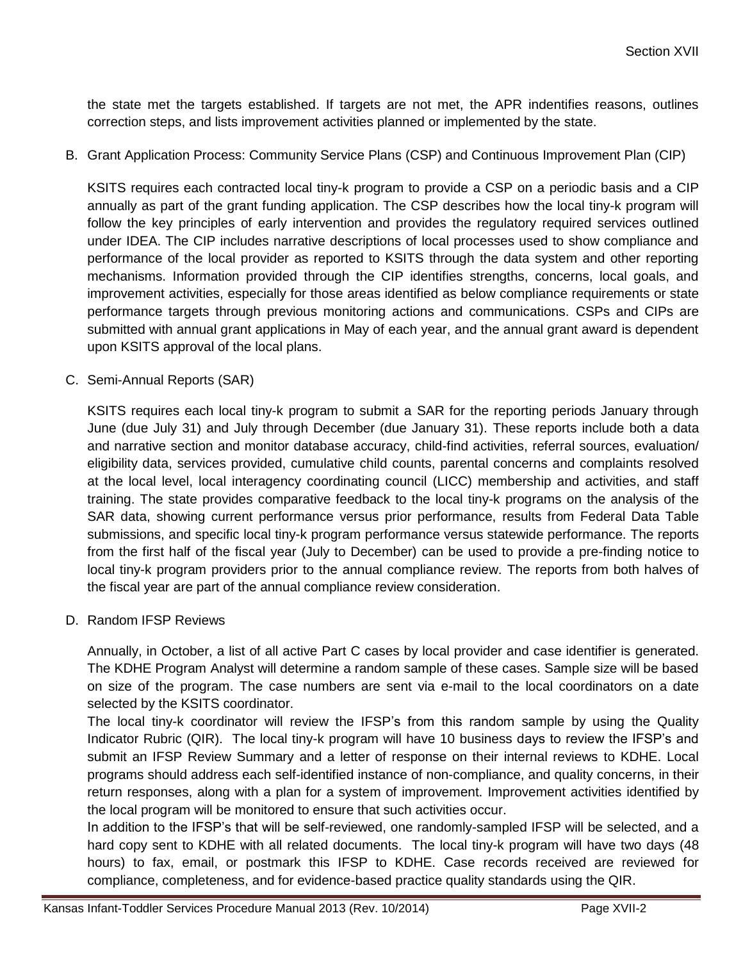the state met the targets established. If targets are not met, the APR indentifies reasons, outlines correction steps, and lists improvement activities planned or implemented by the state.

B. Grant Application Process: Community Service Plans (CSP) and Continuous Improvement Plan (CIP)

KSITS requires each contracted local tiny-k program to provide a CSP on a periodic basis and a CIP annually as part of the grant funding application. The CSP describes how the local tiny-k program will follow the key principles of early intervention and provides the regulatory required services outlined under IDEA. The CIP includes narrative descriptions of local processes used to show compliance and performance of the local provider as reported to KSITS through the data system and other reporting mechanisms. Information provided through the CIP identifies strengths, concerns, local goals, and improvement activities, especially for those areas identified as below compliance requirements or state performance targets through previous monitoring actions and communications. CSPs and CIPs are submitted with annual grant applications in May of each year, and the annual grant award is dependent upon KSITS approval of the local plans.

C. Semi-Annual Reports (SAR)

KSITS requires each local tiny-k program to submit a SAR for the reporting periods January through June (due July 31) and July through December (due January 31). These reports include both a data and narrative section and monitor database accuracy, child-find activities, referral sources, evaluation/ eligibility data, services provided, cumulative child counts, parental concerns and complaints resolved at the local level, local interagency coordinating council (LICC) membership and activities, and staff training. The state provides comparative feedback to the local tiny-k programs on the analysis of the SAR data, showing current performance versus prior performance, results from Federal Data Table submissions, and specific local tiny-k program performance versus statewide performance. The reports from the first half of the fiscal year (July to December) can be used to provide a pre-finding notice to local tiny-k program providers prior to the annual compliance review. The reports from both halves of the fiscal year are part of the annual compliance review consideration.

D. Random IFSP Reviews

Annually, in October, a list of all active Part C cases by local provider and case identifier is generated. The KDHE Program Analyst will determine a random sample of these cases. Sample size will be based on size of the program. The case numbers are sent via e-mail to the local coordinators on a date selected by the KSITS coordinator.

The local tiny-k coordinator will review the IFSP's from this random sample by using the Quality Indicator Rubric (QIR). The local tiny-k program will have 10 business days to review the IFSP's and submit an IFSP Review Summary and a letter of response on their internal reviews to KDHE. Local programs should address each self-identified instance of non-compliance, and quality concerns, in their return responses, along with a plan for a system of improvement. Improvement activities identified by the local program will be monitored to ensure that such activities occur.

In addition to the IFSP's that will be self-reviewed, one randomly-sampled IFSP will be selected, and a hard copy sent to KDHE with all related documents. The local tiny-k program will have two days (48 hours) to fax, email, or postmark this IFSP to KDHE. Case records received are reviewed for compliance, completeness, and for evidence-based practice quality standards using the QIR.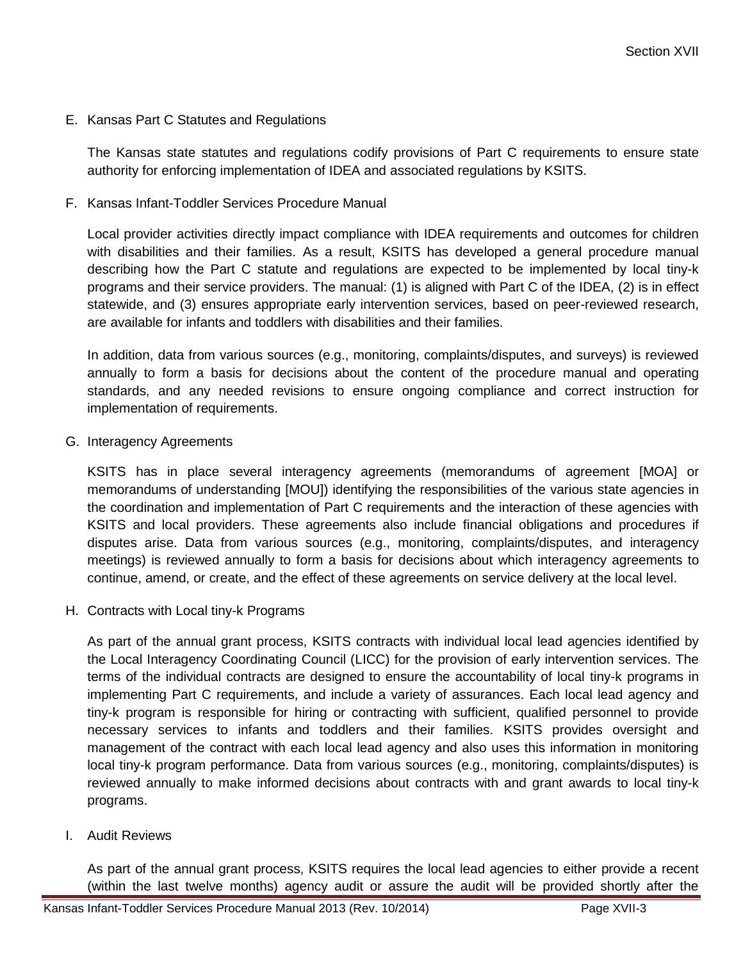E. Kansas Part C Statutes and Regulations

The Kansas state statutes and regulations codify provisions of Part C requirements to ensure state authority for enforcing implementation of IDEA and associated regulations by KSITS.

F. Kansas Infant-Toddler Services Procedure Manual

Local provider activities directly impact compliance with IDEA requirements and outcomes for children with disabilities and their families. As a result, KSITS has developed a general procedure manual describing how the Part C statute and regulations are expected to be implemented by local tiny-k programs and their service providers. The manual: (1) is aligned with Part C of the IDEA, (2) is in effect statewide, and (3) ensures appropriate early intervention services, based on peer-reviewed research, are available for infants and toddlers with disabilities and their families.

In addition, data from various sources (e.g., monitoring, complaints/disputes, and surveys) is reviewed annually to form a basis for decisions about the content of the procedure manual and operating standards, and any needed revisions to ensure ongoing compliance and correct instruction for implementation of requirements.

G. Interagency Agreements

KSITS has in place several interagency agreements (memorandums of agreement [MOA] or memorandums of understanding [MOU]) identifying the responsibilities of the various state agencies in the coordination and implementation of Part C requirements and the interaction of these agencies with KSITS and local providers. These agreements also include financial obligations and procedures if disputes arise. Data from various sources (e.g., monitoring, complaints/disputes, and interagency meetings) is reviewed annually to form a basis for decisions about which interagency agreements to continue, amend, or create, and the effect of these agreements on service delivery at the local level.

H. Contracts with Local tiny-k Programs

As part of the annual grant process, KSITS contracts with individual local lead agencies identified by the Local Interagency Coordinating Council (LICC) for the provision of early intervention services. The terms of the individual contracts are designed to ensure the accountability of local tiny-k programs in implementing Part C requirements, and include a variety of assurances. Each local lead agency and tiny-k program is responsible for hiring or contracting with sufficient, qualified personnel to provide necessary services to infants and toddlers and their families. KSITS provides oversight and management of the contract with each local lead agency and also uses this information in monitoring local tiny-k program performance. Data from various sources (e.g., monitoring, complaints/disputes) is reviewed annually to make informed decisions about contracts with and grant awards to local tiny-k programs.

I. Audit Reviews

As part of the annual grant process, KSITS requires the local lead agencies to either provide a recent (within the last twelve months) agency audit or assure the audit will be provided shortly after the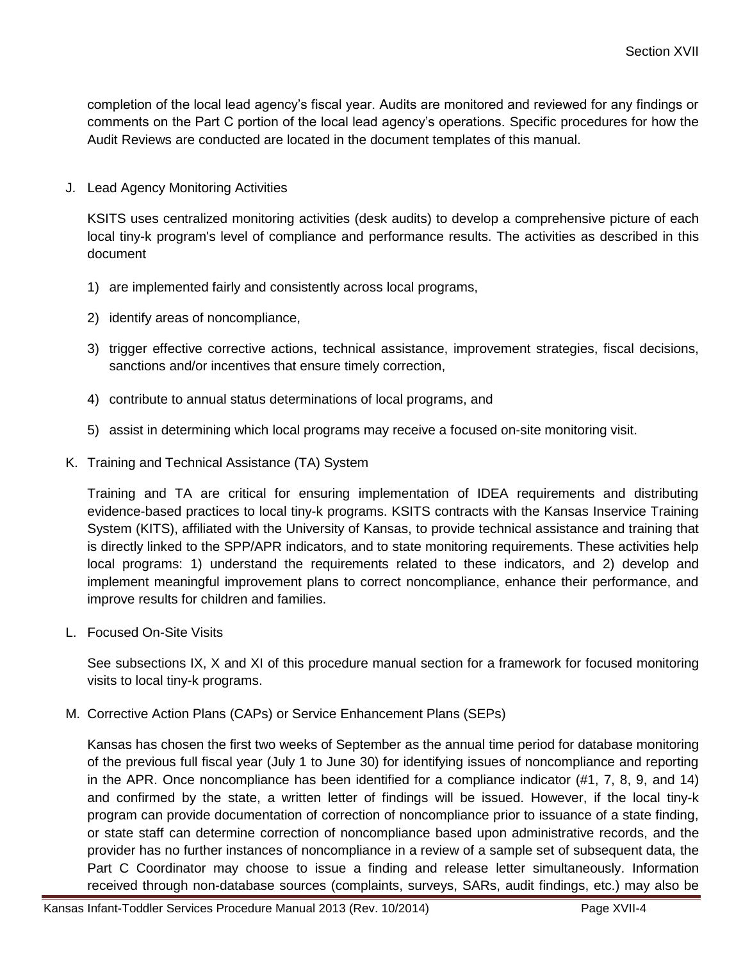completion of the local lead agency's fiscal year. Audits are monitored and reviewed for any findings or comments on the Part C portion of the local lead agency's operations. Specific procedures for how the Audit Reviews are conducted are located in the document templates of this manual.

J. Lead Agency Monitoring Activities

KSITS uses centralized monitoring activities (desk audits) to develop a comprehensive picture of each local tiny-k program's level of compliance and performance results. The activities as described in this document

- 1) are implemented fairly and consistently across local programs,
- 2) identify areas of noncompliance,
- 3) trigger effective corrective actions, technical assistance, improvement strategies, fiscal decisions, sanctions and/or incentives that ensure timely correction,
- 4) contribute to annual status determinations of local programs, and
- 5) assist in determining which local programs may receive a focused on-site monitoring visit.
- K. Training and Technical Assistance (TA) System

Training and TA are critical for ensuring implementation of IDEA requirements and distributing evidence-based practices to local tiny-k programs. KSITS contracts with the Kansas Inservice Training System (KITS), affiliated with the University of Kansas, to provide technical assistance and training that is directly linked to the SPP/APR indicators, and to state monitoring requirements. These activities help local programs: 1) understand the requirements related to these indicators, and 2) develop and implement meaningful improvement plans to correct noncompliance, enhance their performance, and improve results for children and families.

L. Focused On-Site Visits

See subsections IX, X and XI of this procedure manual section for a framework for focused monitoring visits to local tiny-k programs.

M. Corrective Action Plans (CAPs) or Service Enhancement Plans (SEPs)

Kansas has chosen the first two weeks of September as the annual time period for database monitoring of the previous full fiscal year (July 1 to June 30) for identifying issues of noncompliance and reporting in the APR. Once noncompliance has been identified for a compliance indicator (#1, 7, 8, 9, and 14) and confirmed by the state, a written letter of findings will be issued. However, if the local tiny-k program can provide documentation of correction of noncompliance prior to issuance of a state finding, or state staff can determine correction of noncompliance based upon administrative records, and the provider has no further instances of noncompliance in a review of a sample set of subsequent data, the Part C Coordinator may choose to issue a finding and release letter simultaneously. Information received through non-database sources (complaints, surveys, SARs, audit findings, etc.) may also be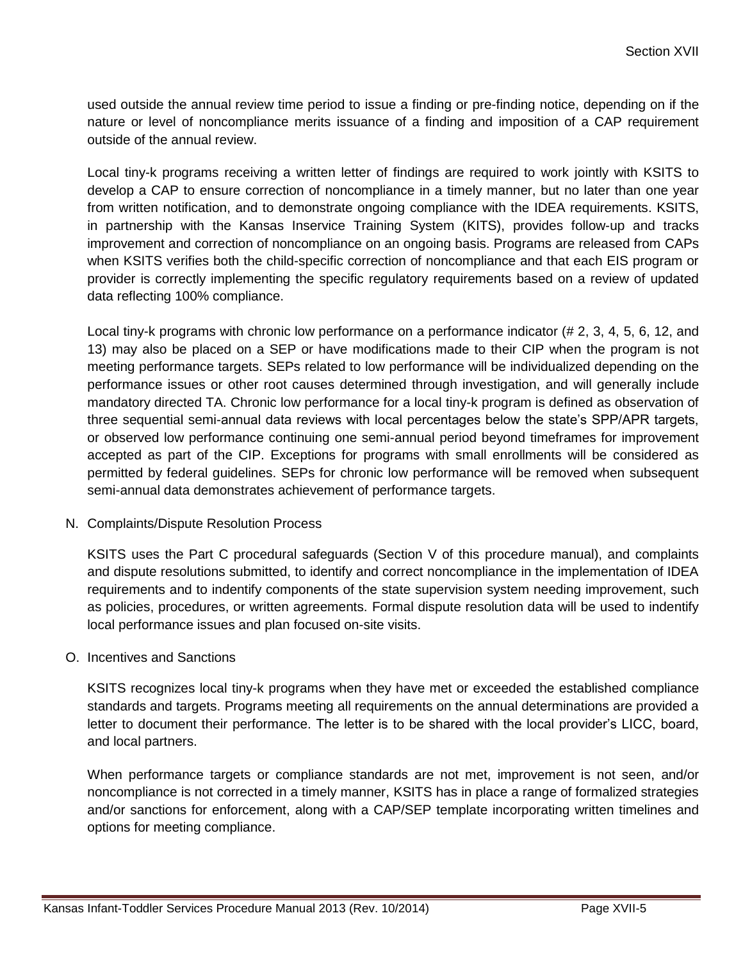used outside the annual review time period to issue a finding or pre-finding notice, depending on if the nature or level of noncompliance merits issuance of a finding and imposition of a CAP requirement outside of the annual review.

Local tiny-k programs receiving a written letter of findings are required to work jointly with KSITS to develop a CAP to ensure correction of noncompliance in a timely manner, but no later than one year from written notification, and to demonstrate ongoing compliance with the IDEA requirements. KSITS, in partnership with the Kansas Inservice Training System (KITS), provides follow-up and tracks improvement and correction of noncompliance on an ongoing basis. Programs are released from CAPs when KSITS verifies both the child-specific correction of noncompliance and that each EIS program or provider is correctly implementing the specific regulatory requirements based on a review of updated data reflecting 100% compliance.

Local tiny-k programs with chronic low performance on a performance indicator (# 2, 3, 4, 5, 6, 12, and 13) may also be placed on a SEP or have modifications made to their CIP when the program is not meeting performance targets. SEPs related to low performance will be individualized depending on the performance issues or other root causes determined through investigation, and will generally include mandatory directed TA. Chronic low performance for a local tiny-k program is defined as observation of three sequential semi-annual data reviews with local percentages below the state's SPP/APR targets, or observed low performance continuing one semi-annual period beyond timeframes for improvement accepted as part of the CIP. Exceptions for programs with small enrollments will be considered as permitted by federal guidelines. SEPs for chronic low performance will be removed when subsequent semi-annual data demonstrates achievement of performance targets.

#### N. Complaints/Dispute Resolution Process

KSITS uses the Part C procedural safeguards (Section V of this procedure manual), and complaints and dispute resolutions submitted, to identify and correct noncompliance in the implementation of IDEA requirements and to indentify components of the state supervision system needing improvement, such as policies, procedures, or written agreements. Formal dispute resolution data will be used to indentify local performance issues and plan focused on-site visits.

#### O. Incentives and Sanctions

KSITS recognizes local tiny-k programs when they have met or exceeded the established compliance standards and targets. Programs meeting all requirements on the annual determinations are provided a letter to document their performance. The letter is to be shared with the local provider's LICC, board, and local partners.

When performance targets or compliance standards are not met, improvement is not seen, and/or noncompliance is not corrected in a timely manner, KSITS has in place a range of formalized strategies and/or sanctions for enforcement, along with a CAP/SEP template incorporating written timelines and options for meeting compliance.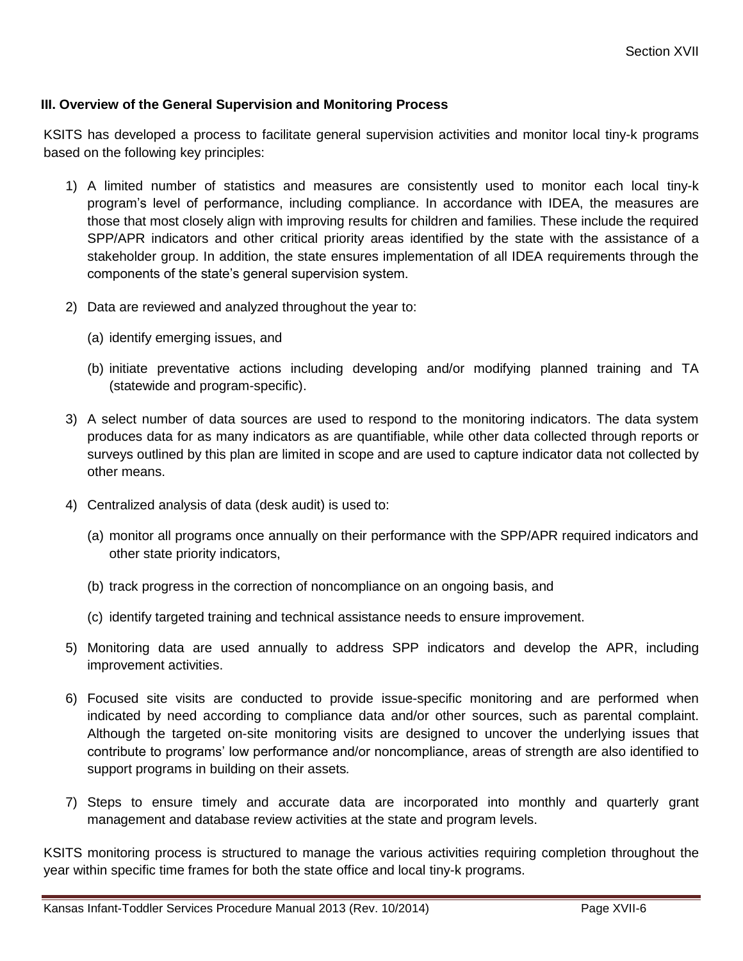#### **III. Overview of the General Supervision and Monitoring Process**

KSITS has developed a process to facilitate general supervision activities and monitor local tiny-k programs based on the following key principles:

- 1) A limited number of statistics and measures are consistently used to monitor each local tiny-k program's level of performance, including compliance. In accordance with IDEA, the measures are those that most closely align with improving results for children and families. These include the required SPP/APR indicators and other critical priority areas identified by the state with the assistance of a stakeholder group. In addition, the state ensures implementation of all IDEA requirements through the components of the state's general supervision system.
- 2) Data are reviewed and analyzed throughout the year to:
	- (a) identify emerging issues, and
	- (b) initiate preventative actions including developing and/or modifying planned training and TA (statewide and program-specific).
- 3) A select number of data sources are used to respond to the monitoring indicators. The data system produces data for as many indicators as are quantifiable, while other data collected through reports or surveys outlined by this plan are limited in scope and are used to capture indicator data not collected by other means.
- 4) Centralized analysis of data (desk audit) is used to:
	- (a) monitor all programs once annually on their performance with the SPP/APR required indicators and other state priority indicators,
	- (b) track progress in the correction of noncompliance on an ongoing basis, and
	- (c) identify targeted training and technical assistance needs to ensure improvement.
- 5) Monitoring data are used annually to address SPP indicators and develop the APR, including improvement activities.
- 6) Focused site visits are conducted to provide issue-specific monitoring and are performed when indicated by need according to compliance data and/or other sources, such as parental complaint. Although the targeted on-site monitoring visits are designed to uncover the underlying issues that contribute to programs' low performance and/or noncompliance, areas of strength are also identified to support programs in building on their assets*.*
- 7) Steps to ensure timely and accurate data are incorporated into monthly and quarterly grant management and database review activities at the state and program levels.

KSITS monitoring process is structured to manage the various activities requiring completion throughout the year within specific time frames for both the state office and local tiny-k programs.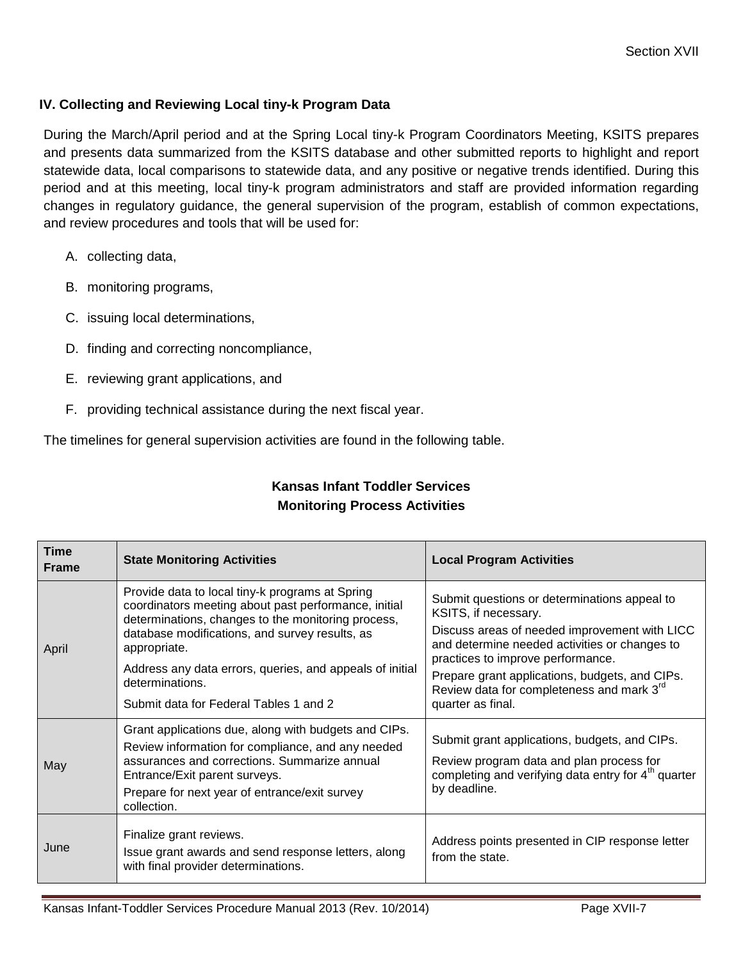### **IV. Collecting and Reviewing Local tiny-k Program Data**

During the March/April period and at the Spring Local tiny-k Program Coordinators Meeting, KSITS prepares and presents data summarized from the KSITS database and other submitted reports to highlight and report statewide data, local comparisons to statewide data, and any positive or negative trends identified. During this period and at this meeting, local tiny-k program administrators and staff are provided information regarding changes in regulatory guidance, the general supervision of the program, establish of common expectations, and review procedures and tools that will be used for:

- A. collecting data,
- B. monitoring programs,
- C. issuing local determinations,
- D. finding and correcting noncompliance,
- E. reviewing grant applications, and
- F. providing technical assistance during the next fiscal year.

The timelines for general supervision activities are found in the following table.

| <b>Time</b><br><b>Frame</b> | <b>State Monitoring Activities</b>                                                                                                                                                                                                                                                                                                                       | <b>Local Program Activities</b>                                                                                                                                                                                                                                                                                                 |
|-----------------------------|----------------------------------------------------------------------------------------------------------------------------------------------------------------------------------------------------------------------------------------------------------------------------------------------------------------------------------------------------------|---------------------------------------------------------------------------------------------------------------------------------------------------------------------------------------------------------------------------------------------------------------------------------------------------------------------------------|
| April                       | Provide data to local tiny-k programs at Spring<br>coordinators meeting about past performance, initial<br>determinations, changes to the monitoring process,<br>database modifications, and survey results, as<br>appropriate.<br>Address any data errors, queries, and appeals of initial<br>determinations.<br>Submit data for Federal Tables 1 and 2 | Submit questions or determinations appeal to<br>KSITS, if necessary.<br>Discuss areas of needed improvement with LICC<br>and determine needed activities or changes to<br>practices to improve performance.<br>Prepare grant applications, budgets, and CIPs.<br>Review data for completeness and mark 3rd<br>quarter as final. |
| May                         | Grant applications due, along with budgets and CIPs.<br>Review information for compliance, and any needed<br>assurances and corrections. Summarize annual<br>Entrance/Exit parent surveys.<br>Prepare for next year of entrance/exit survey<br>collection.                                                                                               | Submit grant applications, budgets, and CIPs.<br>Review program data and plan process for<br>completing and verifying data entry for $4th$ quarter<br>by deadline.                                                                                                                                                              |
| June                        | Finalize grant reviews.<br>Issue grant awards and send response letters, along<br>with final provider determinations.                                                                                                                                                                                                                                    | Address points presented in CIP response letter<br>from the state.                                                                                                                                                                                                                                                              |

# **Kansas Infant Toddler Services Monitoring Process Activities**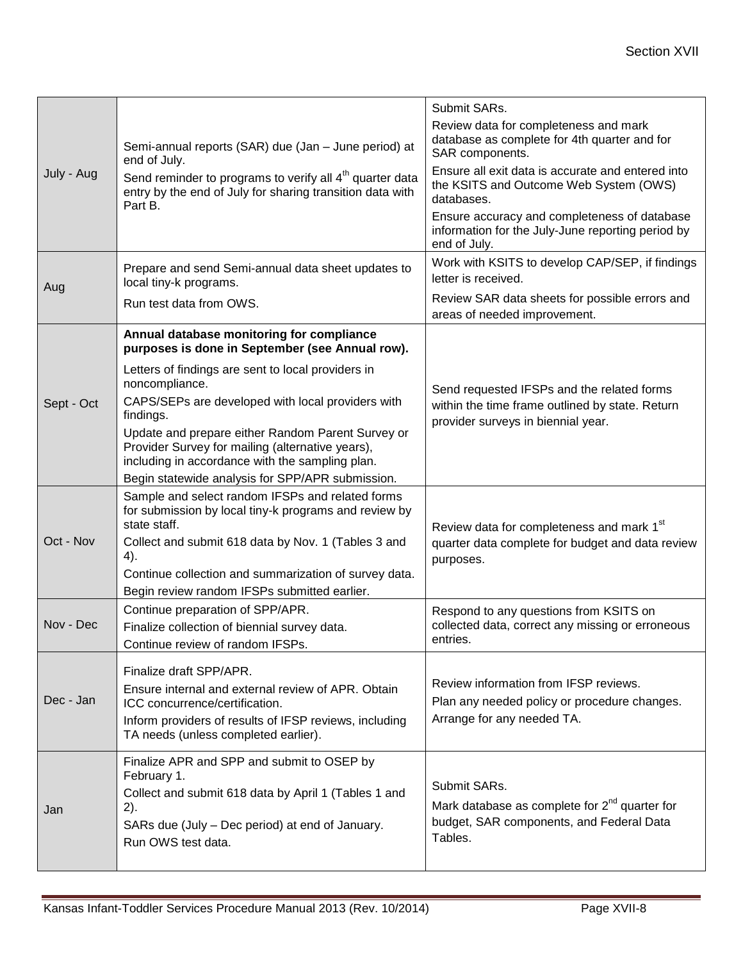|            |                                                                                                                                                          | Submit SARs.                                                                                                      |  |  |  |
|------------|----------------------------------------------------------------------------------------------------------------------------------------------------------|-------------------------------------------------------------------------------------------------------------------|--|--|--|
|            | Semi-annual reports (SAR) due (Jan - June period) at<br>end of July.                                                                                     | Review data for completeness and mark<br>database as complete for 4th quarter and for<br>SAR components.          |  |  |  |
| July - Aug | Send reminder to programs to verify all 4 <sup>th</sup> quarter data<br>entry by the end of July for sharing transition data with<br>Part B.             | Ensure all exit data is accurate and entered into<br>the KSITS and Outcome Web System (OWS)<br>databases.         |  |  |  |
|            |                                                                                                                                                          | Ensure accuracy and completeness of database<br>information for the July-June reporting period by<br>end of July. |  |  |  |
| Aug        | Prepare and send Semi-annual data sheet updates to<br>local tiny-k programs.                                                                             | Work with KSITS to develop CAP/SEP, if findings<br>letter is received.                                            |  |  |  |
|            | Run test data from OWS.                                                                                                                                  | Review SAR data sheets for possible errors and<br>areas of needed improvement.                                    |  |  |  |
|            | Annual database monitoring for compliance<br>purposes is done in September (see Annual row).                                                             |                                                                                                                   |  |  |  |
|            | Letters of findings are sent to local providers in<br>noncompliance.                                                                                     | Send requested IFSPs and the related forms                                                                        |  |  |  |
| Sept - Oct | CAPS/SEPs are developed with local providers with<br>findings.                                                                                           | within the time frame outlined by state. Return<br>provider surveys in biennial year.                             |  |  |  |
|            | Update and prepare either Random Parent Survey or<br>Provider Survey for mailing (alternative years),<br>including in accordance with the sampling plan. |                                                                                                                   |  |  |  |
|            | Begin statewide analysis for SPP/APR submission.                                                                                                         |                                                                                                                   |  |  |  |
|            | Sample and select random IFSPs and related forms<br>for submission by local tiny-k programs and review by<br>state staff.                                | Review data for completeness and mark 1 <sup>st</sup>                                                             |  |  |  |
| Oct - Nov  | Collect and submit 618 data by Nov. 1 (Tables 3 and<br>4).                                                                                               | quarter data complete for budget and data review<br>purposes.                                                     |  |  |  |
|            | Continue collection and summarization of survey data.                                                                                                    |                                                                                                                   |  |  |  |
|            | Begin review random IFSPs submitted earlier.                                                                                                             |                                                                                                                   |  |  |  |
| Nov - Dec  | Continue preparation of SPP/APR.<br>Finalize collection of biennial survey data.                                                                         | Respond to any questions from KSITS on<br>collected data, correct any missing or erroneous                        |  |  |  |
|            | Continue review of random IFSPs.                                                                                                                         | entries.                                                                                                          |  |  |  |
|            | Finalize draft SPP/APR.                                                                                                                                  |                                                                                                                   |  |  |  |
|            | Ensure internal and external review of APR. Obtain                                                                                                       | Review information from IFSP reviews.                                                                             |  |  |  |
| Dec - Jan  | ICC concurrence/certification.                                                                                                                           | Plan any needed policy or procedure changes.<br>Arrange for any needed TA.                                        |  |  |  |
|            | Inform providers of results of IFSP reviews, including<br>TA needs (unless completed earlier).                                                           |                                                                                                                   |  |  |  |
|            | Finalize APR and SPP and submit to OSEP by<br>February 1.                                                                                                |                                                                                                                   |  |  |  |
|            | Collect and submit 618 data by April 1 (Tables 1 and                                                                                                     | Submit SARs.                                                                                                      |  |  |  |
| Jan        | 2).<br>SARs due (July – Dec period) at end of January.                                                                                                   | Mark database as complete for $2^{nd}$ quarter for<br>budget, SAR components, and Federal Data                    |  |  |  |
|            | Run OWS test data.                                                                                                                                       | Tables.                                                                                                           |  |  |  |

ī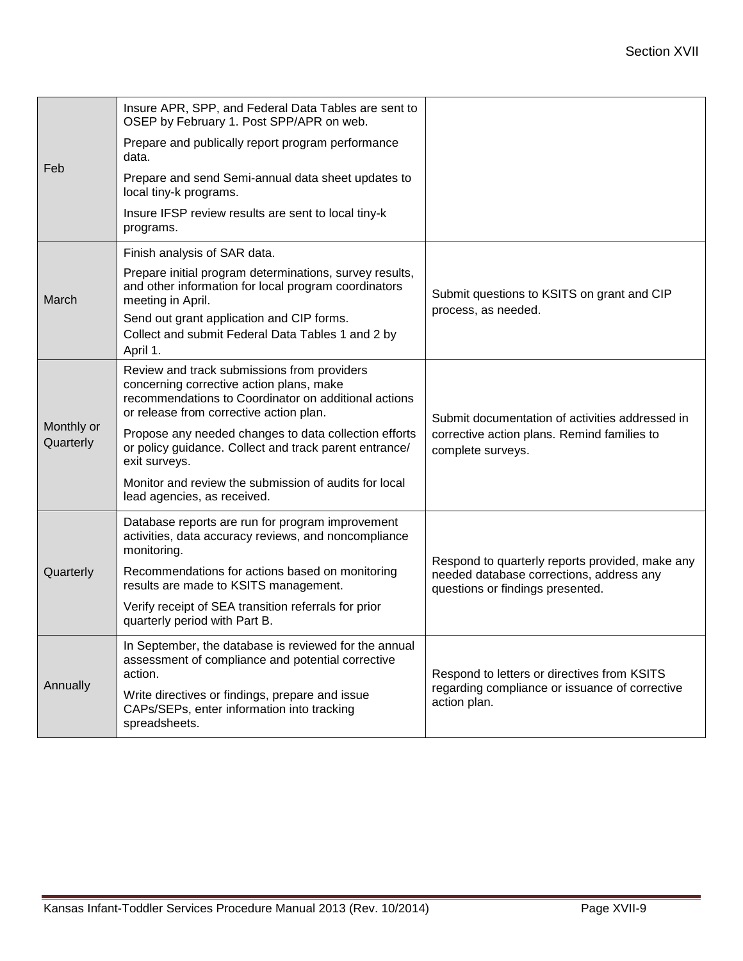|                         | Insure APR, SPP, and Federal Data Tables are sent to<br>OSEP by February 1. Post SPP/APR on web.                                                                                                                                                   |                                                                                                                                 |  |  |  |
|-------------------------|----------------------------------------------------------------------------------------------------------------------------------------------------------------------------------------------------------------------------------------------------|---------------------------------------------------------------------------------------------------------------------------------|--|--|--|
| Feb                     | Prepare and publically report program performance<br>data.                                                                                                                                                                                         |                                                                                                                                 |  |  |  |
|                         | Prepare and send Semi-annual data sheet updates to<br>local tiny-k programs.                                                                                                                                                                       |                                                                                                                                 |  |  |  |
|                         | Insure IFSP review results are sent to local tiny-k<br>programs.                                                                                                                                                                                   |                                                                                                                                 |  |  |  |
|                         | Finish analysis of SAR data.                                                                                                                                                                                                                       |                                                                                                                                 |  |  |  |
| March                   | Prepare initial program determinations, survey results,<br>and other information for local program coordinators<br>meeting in April.<br>Send out grant application and CIP forms.<br>Collect and submit Federal Data Tables 1 and 2 by<br>April 1. | Submit questions to KSITS on grant and CIP<br>process, as needed.                                                               |  |  |  |
|                         | Review and track submissions from providers<br>concerning corrective action plans, make<br>recommendations to Coordinator on additional actions<br>or release from corrective action plan.                                                         | Submit documentation of activities addressed in                                                                                 |  |  |  |
| Monthly or<br>Quarterly | Propose any needed changes to data collection efforts<br>or policy guidance. Collect and track parent entrance/<br>exit surveys.                                                                                                                   | corrective action plans. Remind families to<br>complete surveys.                                                                |  |  |  |
|                         | Monitor and review the submission of audits for local<br>lead agencies, as received.                                                                                                                                                               |                                                                                                                                 |  |  |  |
|                         | Database reports are run for program improvement<br>activities, data accuracy reviews, and noncompliance<br>monitoring.                                                                                                                            |                                                                                                                                 |  |  |  |
| Quarterly               | Recommendations for actions based on monitoring<br>results are made to KSITS management.                                                                                                                                                           | Respond to quarterly reports provided, make any<br>needed database corrections, address any<br>questions or findings presented. |  |  |  |
|                         | Verify receipt of SEA transition referrals for prior<br>quarterly period with Part B.                                                                                                                                                              |                                                                                                                                 |  |  |  |
| Annually                | In September, the database is reviewed for the annual<br>assessment of compliance and potential corrective<br>action.<br>Write directives or findings, prepare and issue                                                                           | Respond to letters or directives from KSITS<br>regarding compliance or issuance of corrective<br>action plan.                   |  |  |  |
|                         | CAPs/SEPs, enter information into tracking<br>spreadsheets.                                                                                                                                                                                        |                                                                                                                                 |  |  |  |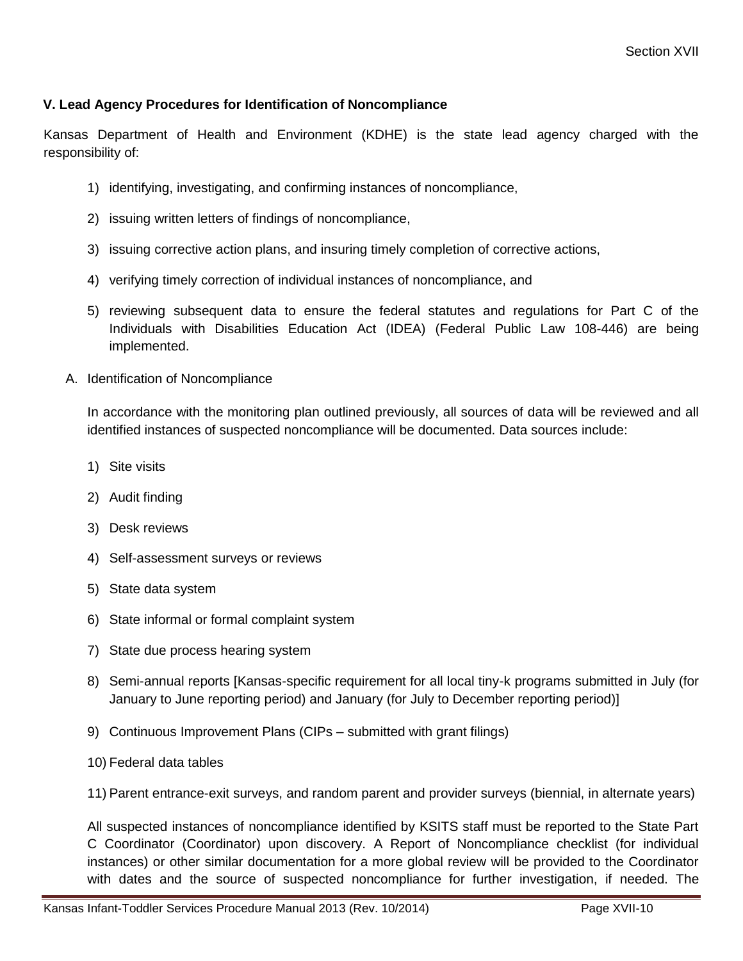#### **V. Lead Agency Procedures for Identification of Noncompliance**

Kansas Department of Health and Environment (KDHE) is the state lead agency charged with the responsibility of:

- 1) identifying, investigating, and confirming instances of noncompliance,
- 2) issuing written letters of findings of noncompliance,
- 3) issuing corrective action plans, and insuring timely completion of corrective actions,
- 4) verifying timely correction of individual instances of noncompliance, and
- 5) reviewing subsequent data to ensure the federal statutes and regulations for Part C of the Individuals with Disabilities Education Act (IDEA) (Federal Public Law 108-446) are being implemented.
- A. Identification of Noncompliance

In accordance with the monitoring plan outlined previously, all sources of data will be reviewed and all identified instances of suspected noncompliance will be documented. Data sources include:

- 1) Site visits
- 2) Audit finding
- 3) Desk reviews
- 4) Self-assessment surveys or reviews
- 5) State data system
- 6) State informal or formal complaint system
- 7) State due process hearing system
- 8) Semi-annual reports [Kansas-specific requirement for all local tiny-k programs submitted in July (for January to June reporting period) and January (for July to December reporting period)]
- 9) Continuous Improvement Plans (CIPs submitted with grant filings)
- 10) Federal data tables
- 11) Parent entrance-exit surveys, and random parent and provider surveys (biennial, in alternate years)

All suspected instances of noncompliance identified by KSITS staff must be reported to the State Part C Coordinator (Coordinator) upon discovery. A Report of Noncompliance checklist (for individual instances) or other similar documentation for a more global review will be provided to the Coordinator with dates and the source of suspected noncompliance for further investigation, if needed. The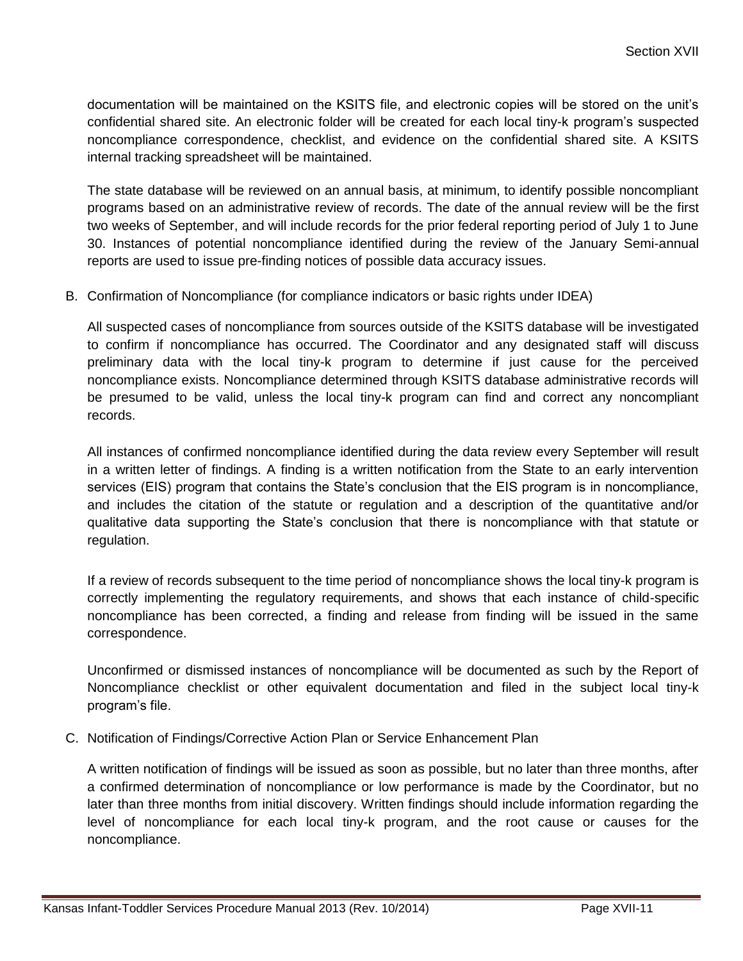documentation will be maintained on the KSITS file, and electronic copies will be stored on the unit's confidential shared site. An electronic folder will be created for each local tiny-k program's suspected noncompliance correspondence, checklist, and evidence on the confidential shared site. A KSITS internal tracking spreadsheet will be maintained.

The state database will be reviewed on an annual basis, at minimum, to identify possible noncompliant programs based on an administrative review of records. The date of the annual review will be the first two weeks of September, and will include records for the prior federal reporting period of July 1 to June 30. Instances of potential noncompliance identified during the review of the January Semi-annual reports are used to issue pre-finding notices of possible data accuracy issues.

B. Confirmation of Noncompliance (for compliance indicators or basic rights under IDEA)

All suspected cases of noncompliance from sources outside of the KSITS database will be investigated to confirm if noncompliance has occurred. The Coordinator and any designated staff will discuss preliminary data with the local tiny-k program to determine if just cause for the perceived noncompliance exists. Noncompliance determined through KSITS database administrative records will be presumed to be valid, unless the local tiny-k program can find and correct any noncompliant records.

All instances of confirmed noncompliance identified during the data review every September will result in a written letter of findings. A finding is a written notification from the State to an early intervention services (EIS) program that contains the State's conclusion that the EIS program is in noncompliance, and includes the citation of the statute or regulation and a description of the quantitative and/or qualitative data supporting the State's conclusion that there is noncompliance with that statute or regulation.

If a review of records subsequent to the time period of noncompliance shows the local tiny-k program is correctly implementing the regulatory requirements, and shows that each instance of child-specific noncompliance has been corrected, a finding and release from finding will be issued in the same correspondence.

Unconfirmed or dismissed instances of noncompliance will be documented as such by the Report of Noncompliance checklist or other equivalent documentation and filed in the subject local tiny-k program's file.

C. Notification of Findings/Corrective Action Plan or Service Enhancement Plan

A written notification of findings will be issued as soon as possible, but no later than three months, after a confirmed determination of noncompliance or low performance is made by the Coordinator, but no later than three months from initial discovery. Written findings should include information regarding the level of noncompliance for each local tiny-k program, and the root cause or causes for the noncompliance.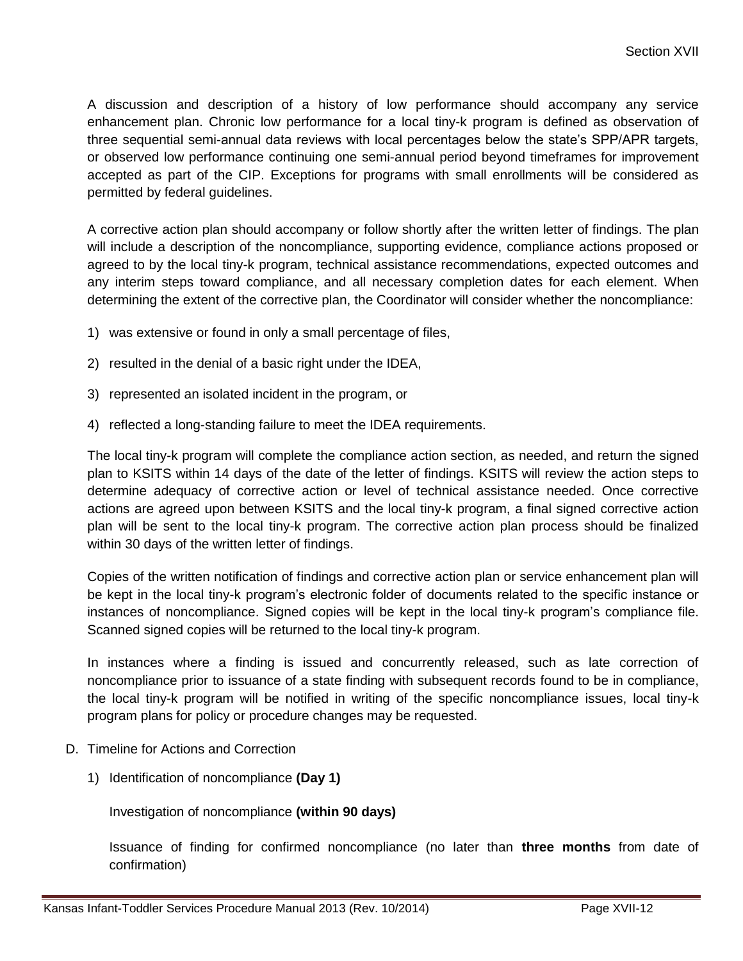A discussion and description of a history of low performance should accompany any service enhancement plan. Chronic low performance for a local tiny-k program is defined as observation of three sequential semi-annual data reviews with local percentages below the state's SPP/APR targets, or observed low performance continuing one semi-annual period beyond timeframes for improvement accepted as part of the CIP. Exceptions for programs with small enrollments will be considered as permitted by federal guidelines.

A corrective action plan should accompany or follow shortly after the written letter of findings. The plan will include a description of the noncompliance, supporting evidence, compliance actions proposed or agreed to by the local tiny-k program, technical assistance recommendations, expected outcomes and any interim steps toward compliance, and all necessary completion dates for each element. When determining the extent of the corrective plan, the Coordinator will consider whether the noncompliance:

- 1) was extensive or found in only a small percentage of files,
- 2) resulted in the denial of a basic right under the IDEA,
- 3) represented an isolated incident in the program, or
- 4) reflected a long-standing failure to meet the IDEA requirements.

The local tiny-k program will complete the compliance action section, as needed, and return the signed plan to KSITS within 14 days of the date of the letter of findings. KSITS will review the action steps to determine adequacy of corrective action or level of technical assistance needed. Once corrective actions are agreed upon between KSITS and the local tiny-k program, a final signed corrective action plan will be sent to the local tiny-k program. The corrective action plan process should be finalized within 30 days of the written letter of findings.

Copies of the written notification of findings and corrective action plan or service enhancement plan will be kept in the local tiny-k program's electronic folder of documents related to the specific instance or instances of noncompliance. Signed copies will be kept in the local tiny-k program's compliance file. Scanned signed copies will be returned to the local tiny-k program.

In instances where a finding is issued and concurrently released, such as late correction of noncompliance prior to issuance of a state finding with subsequent records found to be in compliance, the local tiny-k program will be notified in writing of the specific noncompliance issues, local tiny-k program plans for policy or procedure changes may be requested.

- D. Timeline for Actions and Correction
	- 1) Identification of noncompliance **(Day 1)**

Investigation of noncompliance **(within 90 days)**

Issuance of finding for confirmed noncompliance (no later than **three months** from date of confirmation)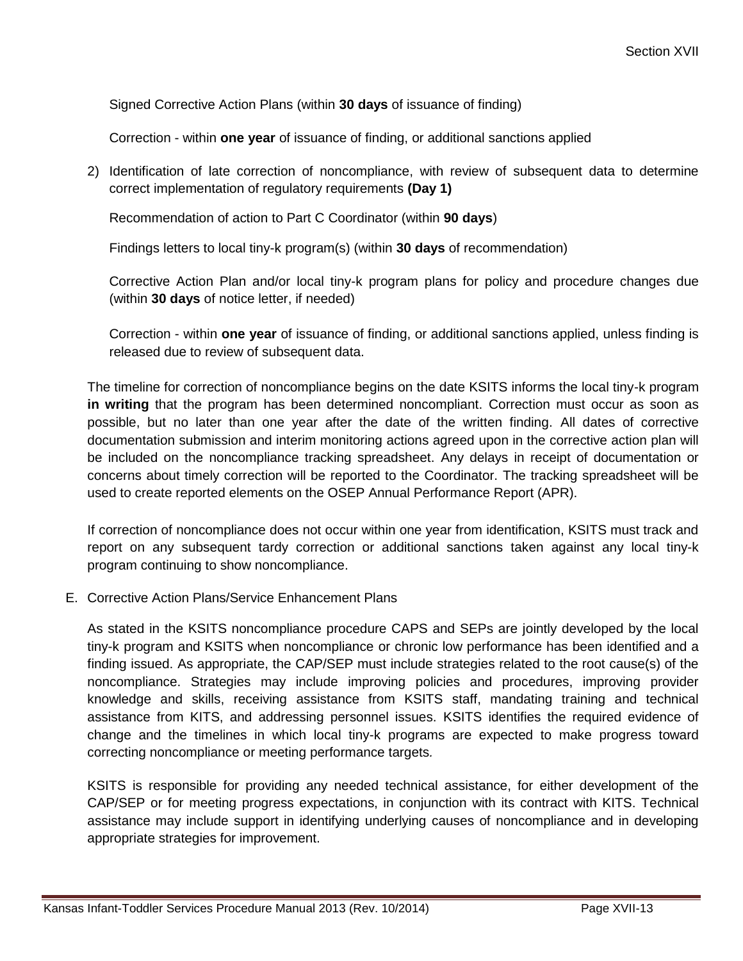Signed Corrective Action Plans (within **30 days** of issuance of finding)

Correction - within **one year** of issuance of finding, or additional sanctions applied

2) Identification of late correction of noncompliance, with review of subsequent data to determine correct implementation of regulatory requirements **(Day 1)**

Recommendation of action to Part C Coordinator (within **90 days**)

Findings letters to local tiny-k program(s) (within **30 days** of recommendation)

Corrective Action Plan and/or local tiny-k program plans for policy and procedure changes due (within **30 days** of notice letter, if needed)

Correction - within **one year** of issuance of finding, or additional sanctions applied, unless finding is released due to review of subsequent data.

The timeline for correction of noncompliance begins on the date KSITS informs the local tiny-k program **in writing** that the program has been determined noncompliant. Correction must occur as soon as possible, but no later than one year after the date of the written finding. All dates of corrective documentation submission and interim monitoring actions agreed upon in the corrective action plan will be included on the noncompliance tracking spreadsheet. Any delays in receipt of documentation or concerns about timely correction will be reported to the Coordinator. The tracking spreadsheet will be used to create reported elements on the OSEP Annual Performance Report (APR).

If correction of noncompliance does not occur within one year from identification, KSITS must track and report on any subsequent tardy correction or additional sanctions taken against any local tiny-k program continuing to show noncompliance.

E. Corrective Action Plans/Service Enhancement Plans

As stated in the KSITS noncompliance procedure CAPS and SEPs are jointly developed by the local tiny-k program and KSITS when noncompliance or chronic low performance has been identified and a finding issued. As appropriate, the CAP/SEP must include strategies related to the root cause(s) of the noncompliance. Strategies may include improving policies and procedures, improving provider knowledge and skills, receiving assistance from KSITS staff, mandating training and technical assistance from KITS, and addressing personnel issues. KSITS identifies the required evidence of change and the timelines in which local tiny-k programs are expected to make progress toward correcting noncompliance or meeting performance targets*.*

KSITS is responsible for providing any needed technical assistance, for either development of the CAP/SEP or for meeting progress expectations, in conjunction with its contract with KITS. Technical assistance may include support in identifying underlying causes of noncompliance and in developing appropriate strategies for improvement.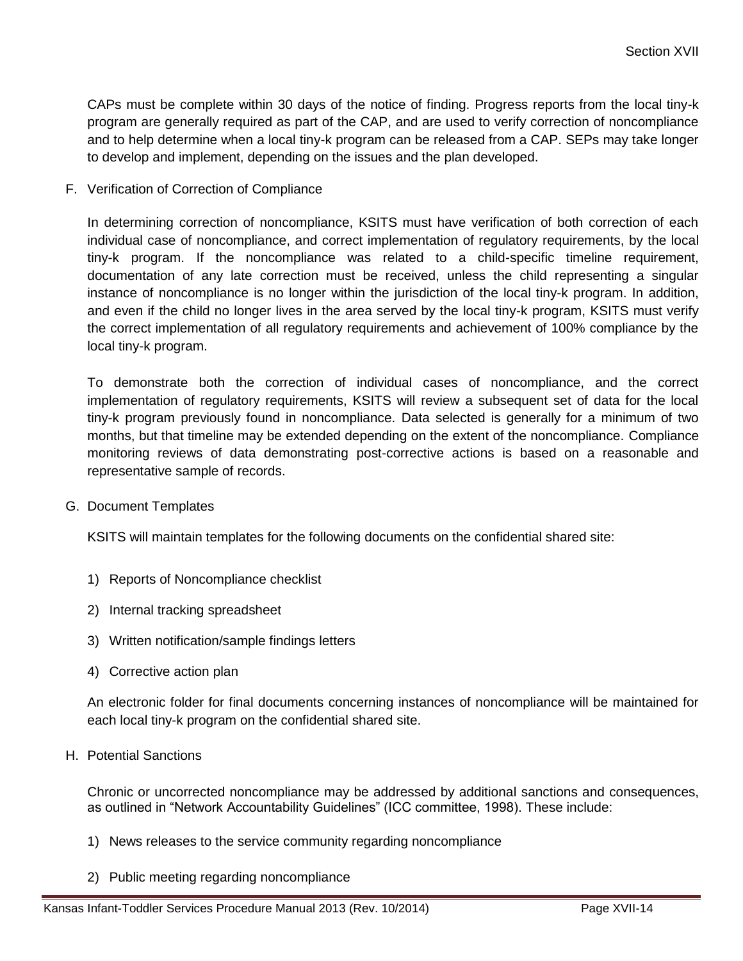CAPs must be complete within 30 days of the notice of finding. Progress reports from the local tiny-k program are generally required as part of the CAP, and are used to verify correction of noncompliance and to help determine when a local tiny-k program can be released from a CAP. SEPs may take longer to develop and implement, depending on the issues and the plan developed.

F. Verification of Correction of Compliance

In determining correction of noncompliance, KSITS must have verification of both correction of each individual case of noncompliance, and correct implementation of regulatory requirements, by the local tiny-k program. If the noncompliance was related to a child-specific timeline requirement, documentation of any late correction must be received, unless the child representing a singular instance of noncompliance is no longer within the jurisdiction of the local tiny-k program. In addition, and even if the child no longer lives in the area served by the local tiny-k program, KSITS must verify the correct implementation of all regulatory requirements and achievement of 100% compliance by the local tiny-k program.

To demonstrate both the correction of individual cases of noncompliance, and the correct implementation of regulatory requirements, KSITS will review a subsequent set of data for the local tiny-k program previously found in noncompliance. Data selected is generally for a minimum of two months, but that timeline may be extended depending on the extent of the noncompliance. Compliance monitoring reviews of data demonstrating post-corrective actions is based on a reasonable and representative sample of records.

G. Document Templates

KSITS will maintain templates for the following documents on the confidential shared site:

- 1) Reports of Noncompliance checklist
- 2) Internal tracking spreadsheet
- 3) Written notification/sample findings letters
- 4) Corrective action plan

An electronic folder for final documents concerning instances of noncompliance will be maintained for each local tiny-k program on the confidential shared site.

H. Potential Sanctions

Chronic or uncorrected noncompliance may be addressed by additional sanctions and consequences, as outlined in "Network Accountability Guidelines" (ICC committee, 1998). These include:

- 1) News releases to the service community regarding noncompliance
- 2) Public meeting regarding noncompliance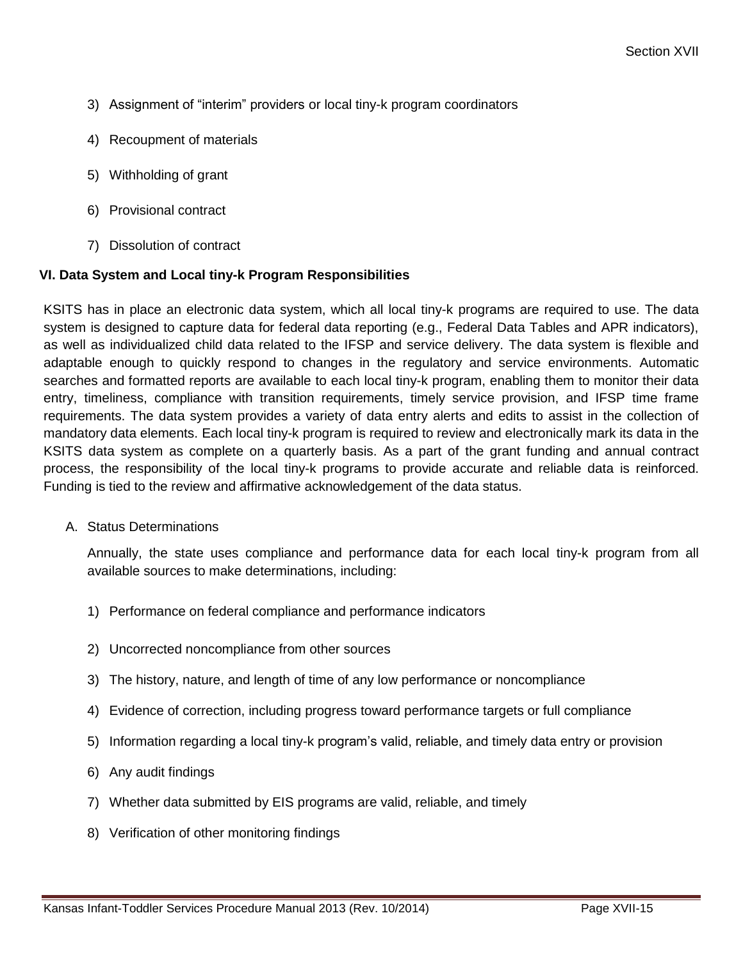- 3) Assignment of "interim" providers or local tiny-k program coordinators
- 4) Recoupment of materials
- 5) Withholding of grant
- 6) Provisional contract
- 7) Dissolution of contract

#### **VI. Data System and Local tiny-k Program Responsibilities**

KSITS has in place an electronic data system, which all local tiny-k programs are required to use. The data system is designed to capture data for federal data reporting (e.g., Federal Data Tables and APR indicators), as well as individualized child data related to the IFSP and service delivery. The data system is flexible and adaptable enough to quickly respond to changes in the regulatory and service environments. Automatic searches and formatted reports are available to each local tiny-k program, enabling them to monitor their data entry, timeliness, compliance with transition requirements, timely service provision, and IFSP time frame requirements. The data system provides a variety of data entry alerts and edits to assist in the collection of mandatory data elements. Each local tiny-k program is required to review and electronically mark its data in the KSITS data system as complete on a quarterly basis. As a part of the grant funding and annual contract process, the responsibility of the local tiny-k programs to provide accurate and reliable data is reinforced. Funding is tied to the review and affirmative acknowledgement of the data status.

A. Status Determinations

Annually, the state uses compliance and performance data for each local tiny-k program from all available sources to make determinations, including:

- 1) Performance on federal compliance and performance indicators
- 2) Uncorrected noncompliance from other sources
- 3) The history, nature, and length of time of any low performance or noncompliance
- 4) Evidence of correction, including progress toward performance targets or full compliance
- 5) Information regarding a local tiny-k program's valid, reliable, and timely data entry or provision
- 6) Any audit findings
- 7) Whether data submitted by EIS programs are valid, reliable, and timely
- 8) Verification of other monitoring findings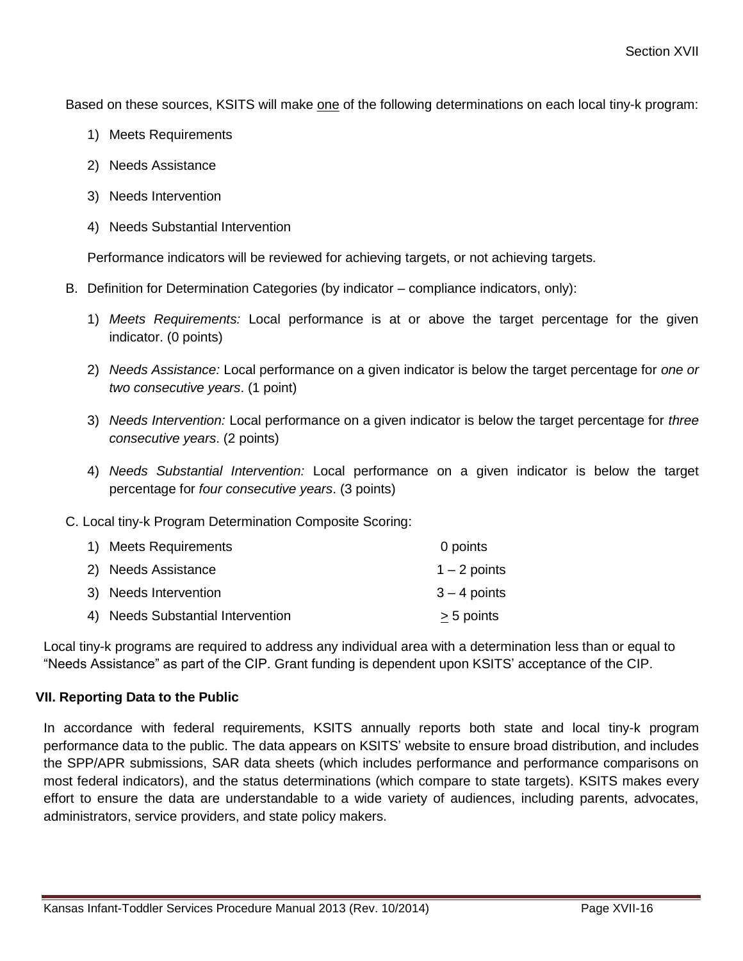Based on these sources, KSITS will make one of the following determinations on each local tiny-k program:

- 1) Meets Requirements
- 2) Needs Assistance
- 3) Needs Intervention
- 4) Needs Substantial Intervention

Performance indicators will be reviewed for achieving targets, or not achieving targets.

- B. Definition for Determination Categories (by indicator compliance indicators, only):
	- 1) *Meets Requirements:* Local performance is at or above the target percentage for the given indicator. (0 points)
	- 2) *Needs Assistance:* Local performance on a given indicator is below the target percentage for *one or two consecutive years*. (1 point)
	- 3) *Needs Intervention:* Local performance on a given indicator is below the target percentage for *three consecutive years*. (2 points)
	- 4) *Needs Substantial Intervention:* Local performance on a given indicator is below the target percentage for *four consecutive years*. (3 points)

C. Local tiny-k Program Determination Composite Scoring:

| 1) Meets Requirements             | 0 points       |
|-----------------------------------|----------------|
| 2) Needs Assistance               | $1 - 2$ points |
| 3) Needs Intervention             | $3 - 4$ points |
| 4) Needs Substantial Intervention | > 5 points     |

Local tiny-k programs are required to address any individual area with a determination less than or equal to "Needs Assistance" as part of the CIP. Grant funding is dependent upon KSITS' acceptance of the CIP.

#### **VII. Reporting Data to the Public**

In accordance with federal requirements, KSITS annually reports both state and local tiny-k program performance data to the public. The data appears on KSITS' website to ensure broad distribution, and includes the SPP/APR submissions, SAR data sheets (which includes performance and performance comparisons on most federal indicators), and the status determinations (which compare to state targets). KSITS makes every effort to ensure the data are understandable to a wide variety of audiences, including parents, advocates, administrators, service providers, and state policy makers.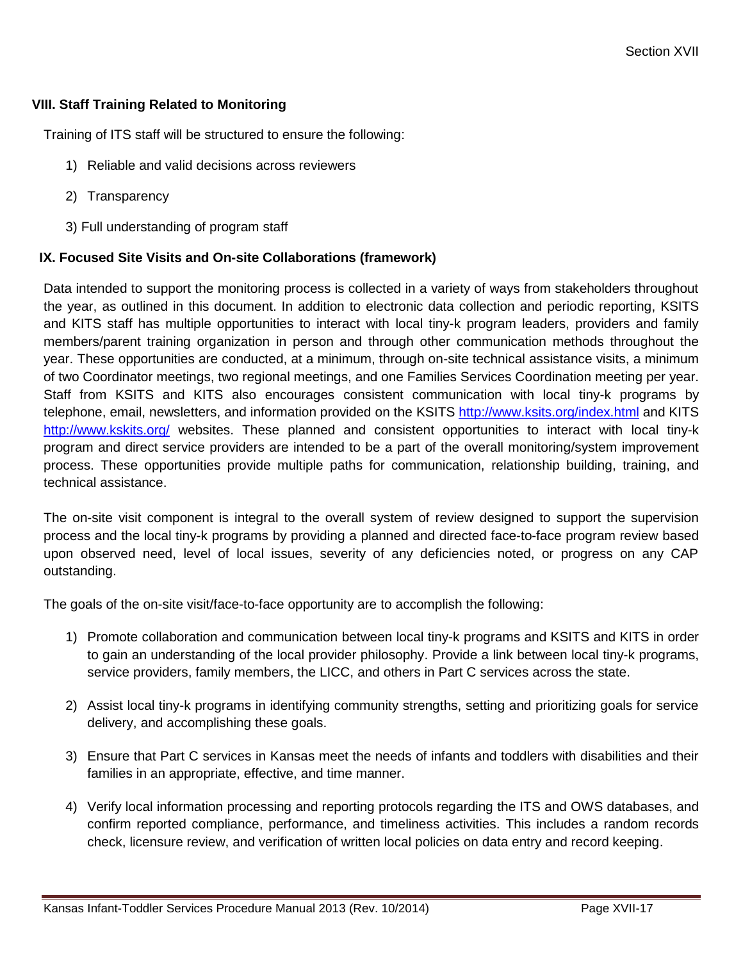#### **VIII. Staff Training Related to Monitoring**

Training of ITS staff will be structured to ensure the following:

- 1) Reliable and valid decisions across reviewers
- 2) Transparency
- 3) Full understanding of program staff

#### **IX. Focused Site Visits and On-site Collaborations (framework)**

Data intended to support the monitoring process is collected in a variety of ways from stakeholders throughout the year, as outlined in this document. In addition to electronic data collection and periodic reporting, KSITS and KITS staff has multiple opportunities to interact with local tiny-k program leaders, providers and family members/parent training organization in person and through other communication methods throughout the year. These opportunities are conducted, at a minimum, through on-site technical assistance visits, a minimum of two Coordinator meetings, two regional meetings, and one Families Services Coordination meeting per year. Staff from KSITS and KITS also encourages consistent communication with local tiny-k programs by telephone, email, newsletters, and information provided on the KSITS <http://www.ksits.org/index.html> and KITS <http://www.kskits.org/> websites. These planned and consistent opportunities to interact with local tiny-k program and direct service providers are intended to be a part of the overall monitoring/system improvement process. These opportunities provide multiple paths for communication, relationship building, training, and technical assistance.

The on-site visit component is integral to the overall system of review designed to support the supervision process and the local tiny-k programs by providing a planned and directed face-to-face program review based upon observed need, level of local issues, severity of any deficiencies noted, or progress on any CAP outstanding.

The goals of the on-site visit/face-to-face opportunity are to accomplish the following:

- 1) Promote collaboration and communication between local tiny-k programs and KSITS and KITS in order to gain an understanding of the local provider philosophy. Provide a link between local tiny-k programs, service providers, family members, the LICC, and others in Part C services across the state.
- 2) Assist local tiny-k programs in identifying community strengths, setting and prioritizing goals for service delivery, and accomplishing these goals.
- 3) Ensure that Part C services in Kansas meet the needs of infants and toddlers with disabilities and their families in an appropriate, effective, and time manner.
- 4) Verify local information processing and reporting protocols regarding the ITS and OWS databases, and confirm reported compliance, performance, and timeliness activities. This includes a random records check, licensure review, and verification of written local policies on data entry and record keeping.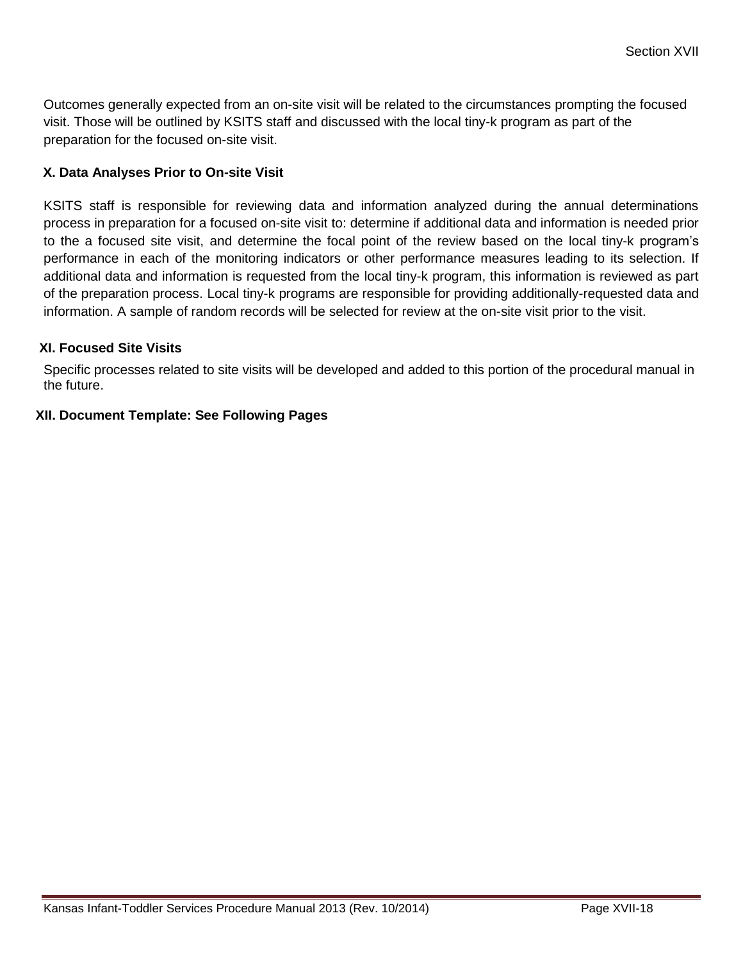Outcomes generally expected from an on-site visit will be related to the circumstances prompting the focused visit. Those will be outlined by KSITS staff and discussed with the local tiny-k program as part of the preparation for the focused on-site visit.

#### **X. Data Analyses Prior to On-site Visit**

KSITS staff is responsible for reviewing data and information analyzed during the annual determinations process in preparation for a focused on-site visit to: determine if additional data and information is needed prior to the a focused site visit, and determine the focal point of the review based on the local tiny-k program's performance in each of the monitoring indicators or other performance measures leading to its selection. If additional data and information is requested from the local tiny-k program, this information is reviewed as part of the preparation process. Local tiny-k programs are responsible for providing additionally-requested data and information. A sample of random records will be selected for review at the on-site visit prior to the visit.

#### **XI. Focused Site Visits**

Specific processes related to site visits will be developed and added to this portion of the procedural manual in the future.

#### **XII. Document Template: See Following Pages**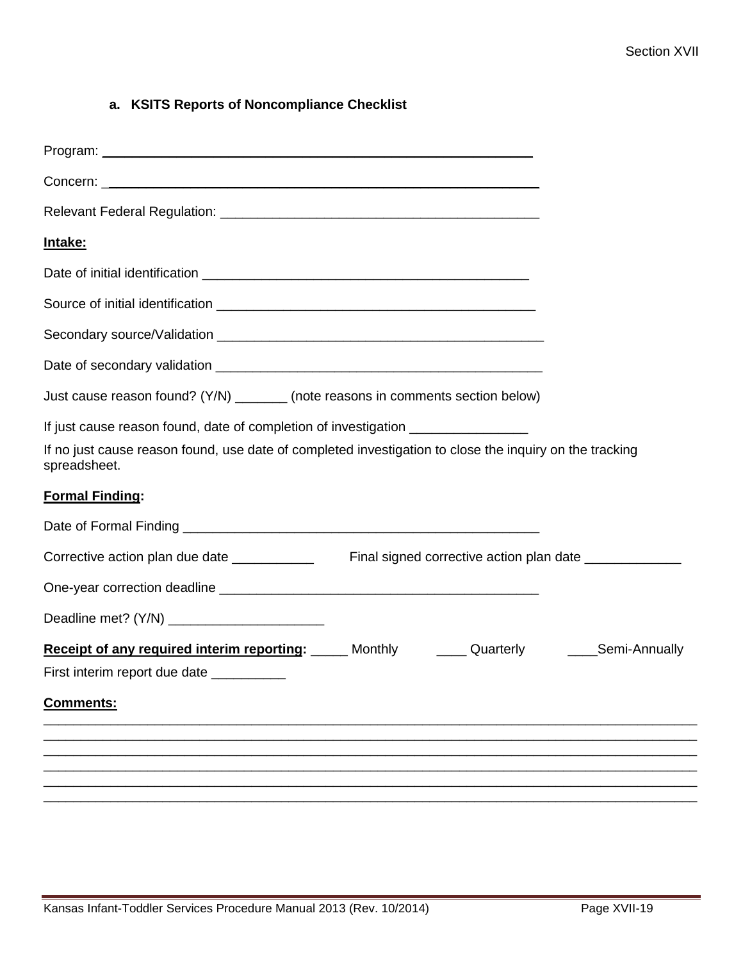# **a. KSITS Reports of Noncompliance Checklist**

| <u>Intake:</u>                                                                                                                                                                                              |  |
|-------------------------------------------------------------------------------------------------------------------------------------------------------------------------------------------------------------|--|
|                                                                                                                                                                                                             |  |
|                                                                                                                                                                                                             |  |
|                                                                                                                                                                                                             |  |
|                                                                                                                                                                                                             |  |
| Just cause reason found? (Y/N) ________ (note reasons in comments section below)                                                                                                                            |  |
| If just cause reason found, date of completion of investigation ________________<br>If no just cause reason found, use date of completed investigation to close the inquiry on the tracking<br>spreadsheet. |  |
| <b>Formal Finding:</b>                                                                                                                                                                                      |  |
|                                                                                                                                                                                                             |  |
|                                                                                                                                                                                                             |  |
|                                                                                                                                                                                                             |  |
|                                                                                                                                                                                                             |  |
| Receipt of any required interim reporting: Monthly Cuarterly Cuarterly Mechanically<br>First interim report due date                                                                                        |  |
| <b>Comments:</b>                                                                                                                                                                                            |  |
|                                                                                                                                                                                                             |  |
|                                                                                                                                                                                                             |  |
|                                                                                                                                                                                                             |  |
|                                                                                                                                                                                                             |  |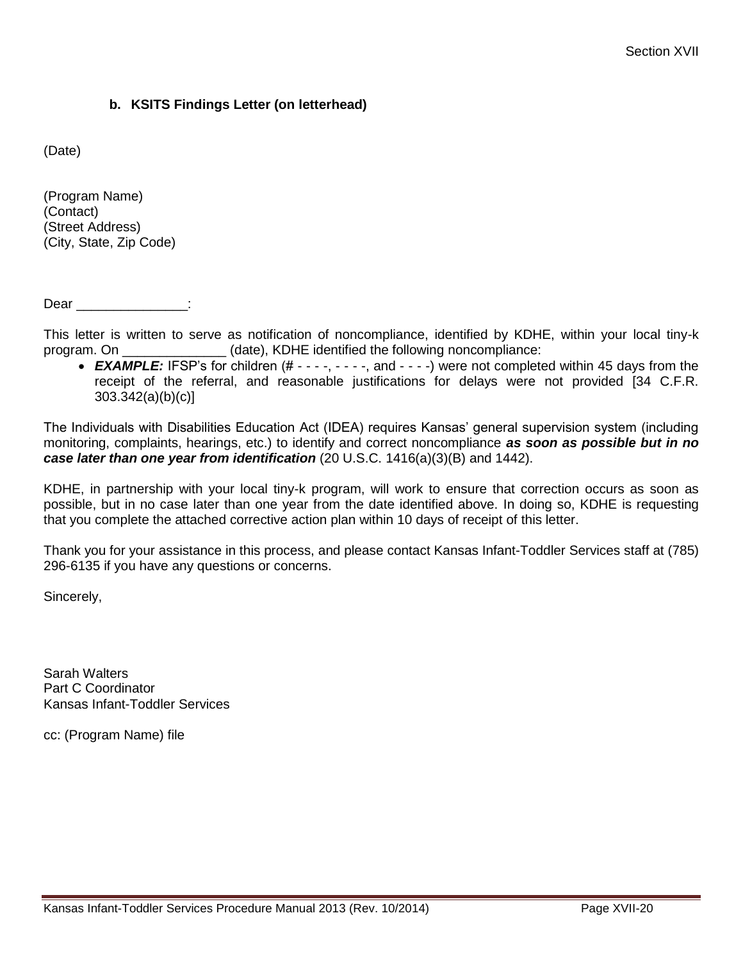#### **b. KSITS Findings Letter (on letterhead)**

(Date)

(Program Name) (Contact) (Street Address) (City, State, Zip Code)

Dear \_\_\_\_\_\_\_\_\_\_\_\_\_\_:

This letter is written to serve as notification of noncompliance, identified by KDHE, within your local tiny-k program. On \_\_\_\_\_\_\_\_\_\_\_\_\_\_ (date), KDHE identified the following noncompliance:

• **EXAMPLE:** IFSP's for children (# - - - -, - - - -, and - - - -) were not completed within 45 days from the receipt of the referral, and reasonable justifications for delays were not provided [34 C.F.R. 303.342(a)(b)(c)]

The Individuals with Disabilities Education Act (IDEA) requires Kansas' general supervision system (including monitoring, complaints, hearings, etc.) to identify and correct noncompliance *as soon as possible but in no case later than one year from identification* (20 U.S.C. 1416(a)(3)(B) and 1442).

KDHE, in partnership with your local tiny-k program, will work to ensure that correction occurs as soon as possible, but in no case later than one year from the date identified above. In doing so, KDHE is requesting that you complete the attached corrective action plan within 10 days of receipt of this letter.

Thank you for your assistance in this process, and please contact Kansas Infant-Toddler Services staff at (785) 296-6135 if you have any questions or concerns.

Sincerely,

Sarah Walters Part C Coordinator Kansas Infant-Toddler Services

cc: (Program Name) file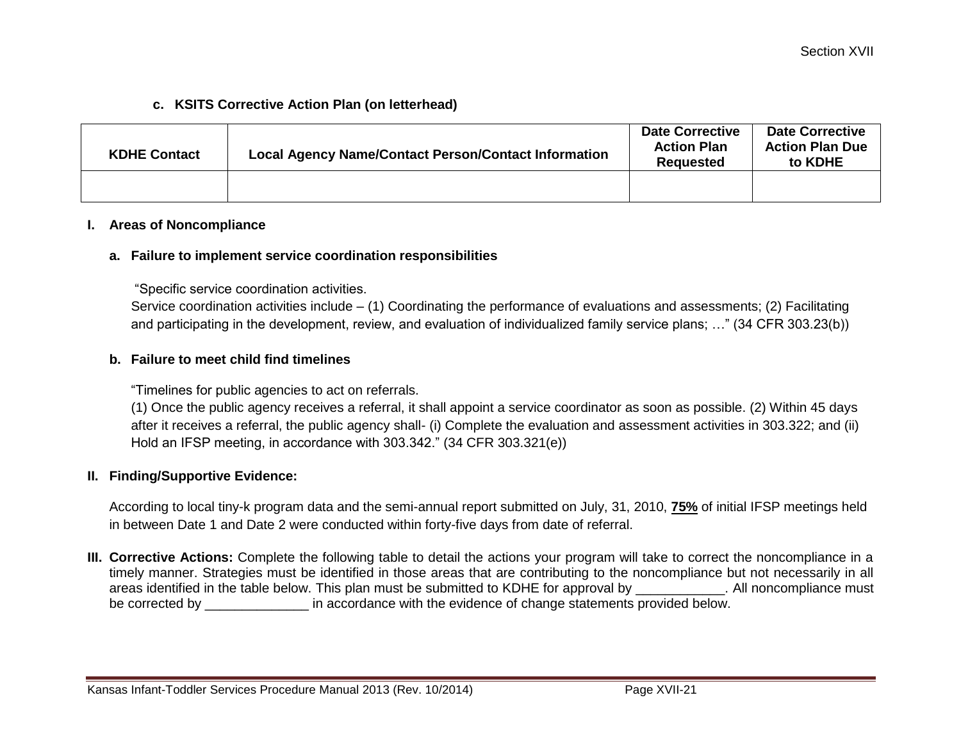#### **c. KSITS Corrective Action Plan (on letterhead)**

| <b>KDHE Contact</b> | <b>Local Agency Name/Contact Person/Contact Information</b> | <b>Date Corrective</b><br><b>Action Plan</b><br>Reauested | <b>Date Corrective</b><br><b>Action Plan Due</b><br>to KDHE |
|---------------------|-------------------------------------------------------------|-----------------------------------------------------------|-------------------------------------------------------------|
|                     |                                                             |                                                           |                                                             |

#### **I. Areas of Noncompliance**

#### **a. Failure to implement service coordination responsibilities**

"Specific service coordination activities.

Service coordination activities include – (1) Coordinating the performance of evaluations and assessments; (2) Facilitating and participating in the development, review, and evaluation of individualized family service plans; …" (34 CFR 303.23(b))

#### **b. Failure to meet child find timelines**

"Timelines for public agencies to act on referrals.

(1) Once the public agency receives a referral, it shall appoint a service coordinator as soon as possible. (2) Within 45 days after it receives a referral, the public agency shall- (i) Complete the evaluation and assessment activities in 303.322; and (ii) Hold an IFSP meeting, in accordance with 303.342." (34 CFR 303.321(e))

#### **II. Finding/Supportive Evidence:**

According to local tiny-k program data and the semi-annual report submitted on July, 31, 2010, **75%** of initial IFSP meetings held in between Date 1 and Date 2 were conducted within forty-five days from date of referral.

**III. Corrective Actions:** Complete the following table to detail the actions your program will take to correct the noncompliance in a timely manner. Strategies must be identified in those areas that are contributing to the noncompliance but not necessarily in all areas identified in the table below. This plan must be submitted to KDHE for approval by \_\_\_\_\_\_\_\_\_\_\_\_. All noncompliance must be corrected by  $\qquad \qquad$  in accordance with the evidence of change statements provided below.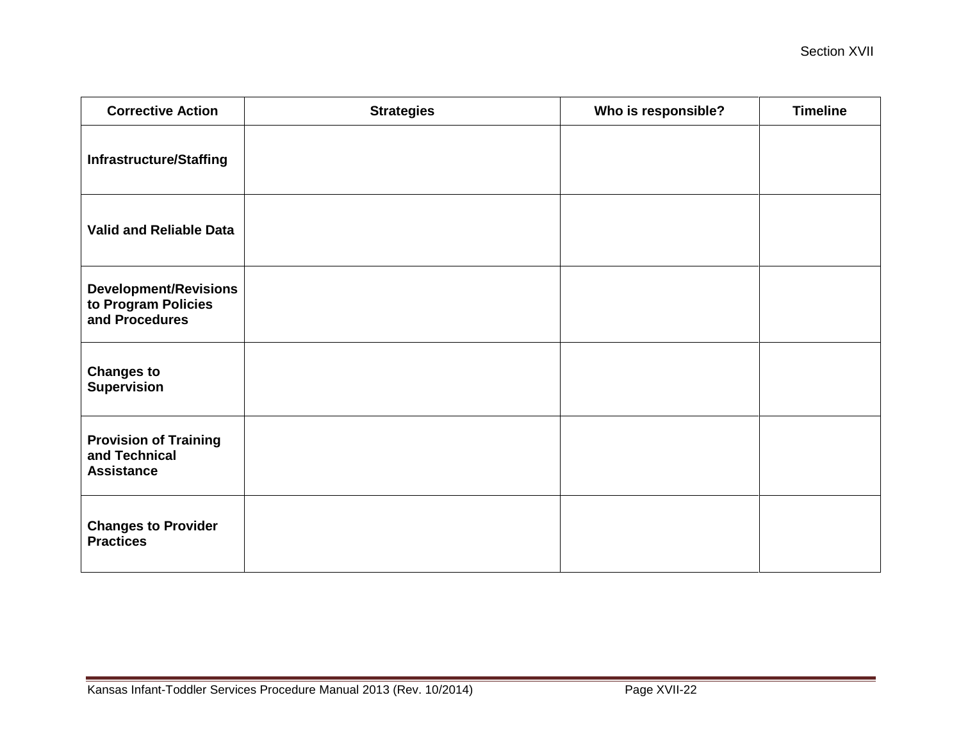| <b>Corrective Action</b>                                              | <b>Strategies</b> | Who is responsible? | <b>Timeline</b> |
|-----------------------------------------------------------------------|-------------------|---------------------|-----------------|
| <b>Infrastructure/Staffing</b>                                        |                   |                     |                 |
| <b>Valid and Reliable Data</b>                                        |                   |                     |                 |
| <b>Development/Revisions</b><br>to Program Policies<br>and Procedures |                   |                     |                 |
| <b>Changes to</b><br><b>Supervision</b>                               |                   |                     |                 |
| <b>Provision of Training</b><br>and Technical<br><b>Assistance</b>    |                   |                     |                 |
| <b>Changes to Provider</b><br><b>Practices</b>                        |                   |                     |                 |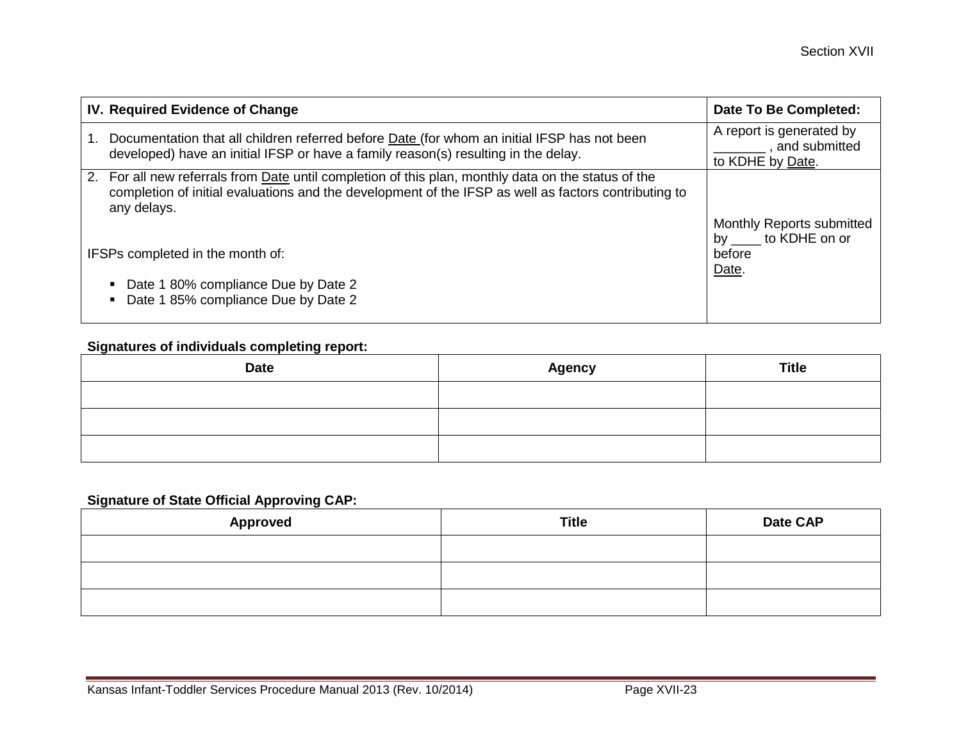| IV. Required Evidence of Change                                                                                                                                                                                            | Date To Be Completed:                       |
|----------------------------------------------------------------------------------------------------------------------------------------------------------------------------------------------------------------------------|---------------------------------------------|
| Documentation that all children referred before <b>Date</b> (for whom an initial IFSP has not been                                                                                                                         | A report is generated by<br>, and submitted |
| developed) have an initial IFSP or have a family reason(s) resulting in the delay.                                                                                                                                         | to KDHE by Date.                            |
| 2. For all new referrals from Date until completion of this plan, monthly data on the status of the<br>completion of initial evaluations and the development of the IFSP as well as factors contributing to<br>any delays. | Monthly Reports submitted                   |
| IFSPs completed in the month of:                                                                                                                                                                                           | by to KDHE on or<br>before<br>Date.         |
| Date 1 80% compliance Due by Date 2<br>Date 1 85% compliance Due by Date 2                                                                                                                                                 |                                             |

# **Signatures of individuals completing report:**

| <b>Date</b> | <b>Agency</b> | <b>Title</b> |
|-------------|---------------|--------------|
|             |               |              |
|             |               |              |
|             |               |              |

# **Signature of State Official Approving CAP:**

| <b>Approved</b> | <b>Title</b> | Date CAP |
|-----------------|--------------|----------|
|                 |              |          |
|                 |              |          |
|                 |              |          |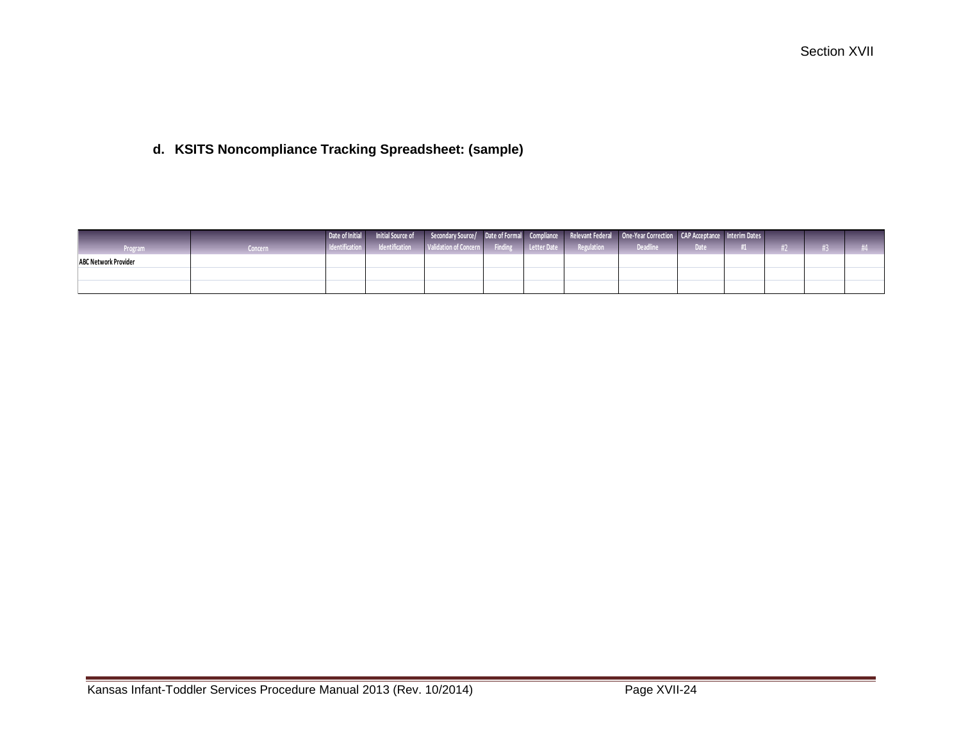# **d. KSITS Noncompliance Tracking Spreadsheet: (sample)**

|                             |          |  |  |  | l Date of Initial Initial Source of Secondary Source/ Date of Formal Compliance Relevant Federal One-Year Correction CAP Acceptance Interim Dates |        |  |  |
|-----------------------------|----------|--|--|--|---------------------------------------------------------------------------------------------------------------------------------------------------|--------|--|--|
| <b>Program</b>              | Concern. |  |  |  | Indentification Intentification Validation of Concern Finding Letter Date Regulation Regulation                                                   | Date / |  |  |
| <b>ABC Network Provider</b> |          |  |  |  |                                                                                                                                                   |        |  |  |
|                             |          |  |  |  |                                                                                                                                                   |        |  |  |
|                             |          |  |  |  |                                                                                                                                                   |        |  |  |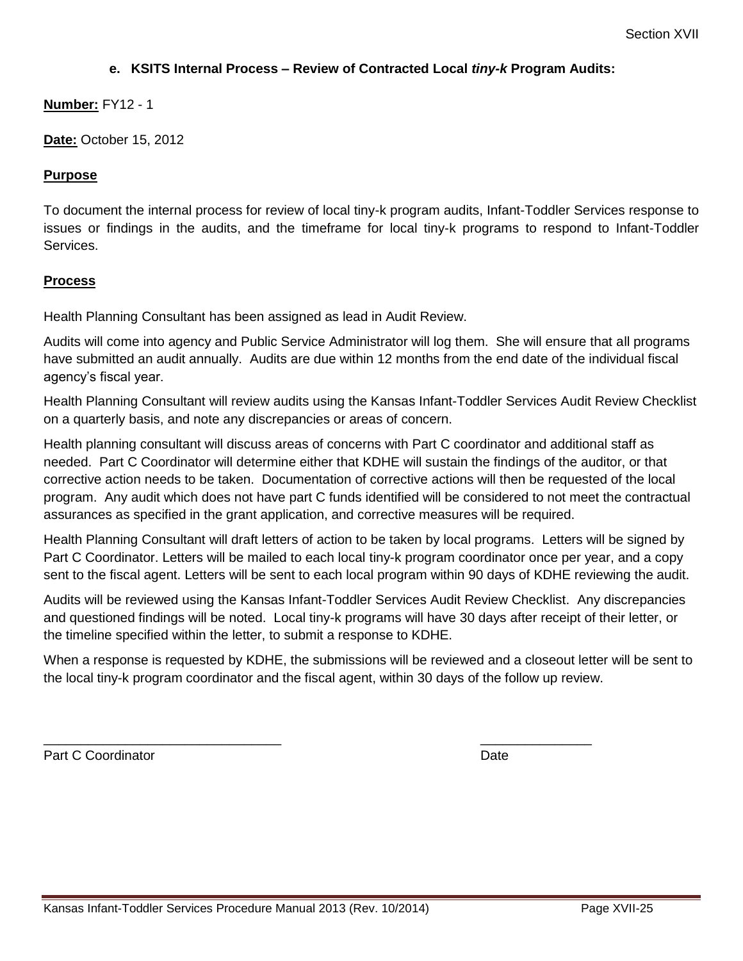#### **e. KSITS Internal Process – Review of Contracted Local** *tiny-k* **Program Audits:**

#### **Number:** FY12 - 1

**Date:** October 15, 2012

#### **Purpose**

To document the internal process for review of local tiny-k program audits, Infant-Toddler Services response to issues or findings in the audits, and the timeframe for local tiny-k programs to respond to Infant-Toddler Services.

#### **Process**

Health Planning Consultant has been assigned as lead in Audit Review.

Audits will come into agency and Public Service Administrator will log them. She will ensure that all programs have submitted an audit annually. Audits are due within 12 months from the end date of the individual fiscal agency's fiscal year.

Health Planning Consultant will review audits using the Kansas Infant-Toddler Services Audit Review Checklist on a quarterly basis, and note any discrepancies or areas of concern.

Health planning consultant will discuss areas of concerns with Part C coordinator and additional staff as needed. Part C Coordinator will determine either that KDHE will sustain the findings of the auditor, or that corrective action needs to be taken. Documentation of corrective actions will then be requested of the local program. Any audit which does not have part C funds identified will be considered to not meet the contractual assurances as specified in the grant application, and corrective measures will be required.

Health Planning Consultant will draft letters of action to be taken by local programs. Letters will be signed by Part C Coordinator. Letters will be mailed to each local tiny-k program coordinator once per year, and a copy sent to the fiscal agent. Letters will be sent to each local program within 90 days of KDHE reviewing the audit.

Audits will be reviewed using the Kansas Infant-Toddler Services Audit Review Checklist. Any discrepancies and questioned findings will be noted. Local tiny-k programs will have 30 days after receipt of their letter, or the timeline specified within the letter, to submit a response to KDHE.

When a response is requested by KDHE, the submissions will be reviewed and a closeout letter will be sent to the local tiny-k program coordinator and the fiscal agent, within 30 days of the follow up review.

 $\overline{\phantom{a}}$  , and the contract of the contract of the contract of the contract of the contract of the contract of the contract of the contract of the contract of the contract of the contract of the contract of the contrac

Part C Coordinator **Date**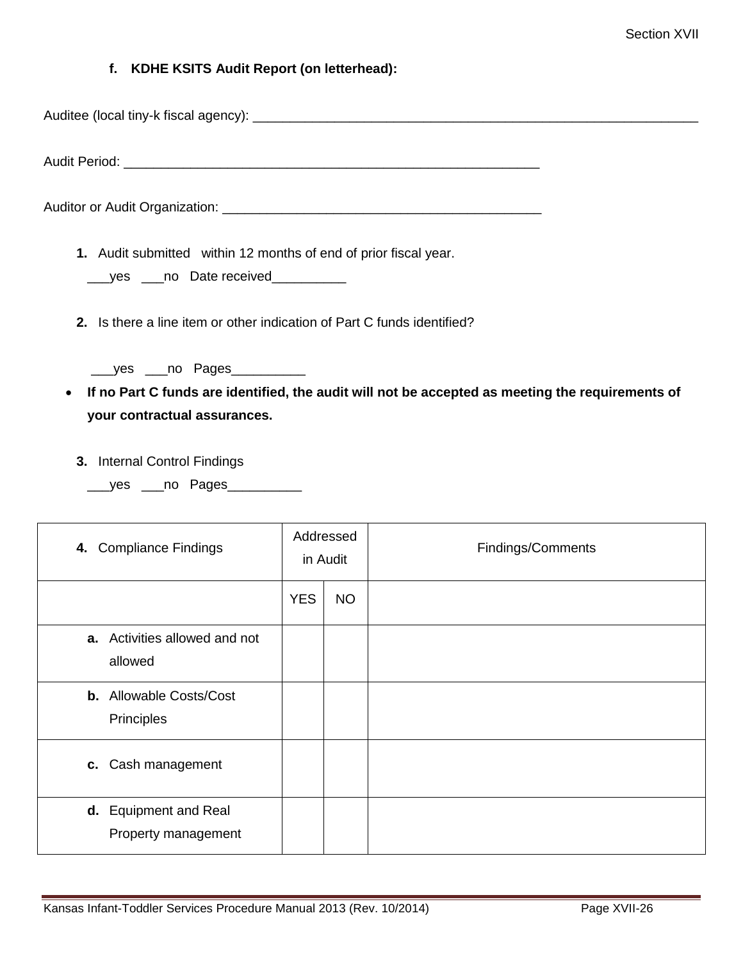#### **f. KDHE KSITS Audit Report (on letterhead):**

Auditee (local tiny-k fiscal agency): \_\_\_\_\_\_\_\_\_\_\_\_\_\_\_\_\_\_\_\_\_\_\_\_\_\_\_\_\_\_\_\_\_\_\_\_\_\_\_\_\_\_\_\_\_\_\_\_\_\_\_\_\_\_\_\_\_\_\_\_

Audit Period: **We are all that the ending of the ending of the ending of the ending of the ending of the ending of the ending of the ending of the ending of the ending of the ending of the ending of the ending of the endin** 

Auditor or Audit Organization: \_\_\_\_\_\_\_\_\_\_\_\_\_\_\_\_\_\_\_\_\_\_\_\_\_\_\_\_\_\_\_\_\_\_\_\_\_\_\_\_\_\_\_

- **1.** Audit submitted within 12 months of end of prior fiscal year.
	- \_\_\_yes \_\_\_no Date received\_\_\_\_\_\_\_\_\_\_
- **2.** Is there a line item or other indication of Part C funds identified?
	- \_\_\_yes \_\_\_no Pages\_\_\_\_\_\_\_\_\_\_
- **If no Part C funds are identified, the audit will not be accepted as meeting the requirements of your contractual assurances.**
	- **3.** Internal Control Findings
		- \_\_\_yes \_\_\_no Pages\_\_\_\_\_\_\_\_\_\_

| 4. Compliance Findings                       | Addressed<br>in Audit |           |  |  |  |  | Findings/Comments |
|----------------------------------------------|-----------------------|-----------|--|--|--|--|-------------------|
|                                              | <b>YES</b>            | <b>NO</b> |  |  |  |  |                   |
| a. Activities allowed and not<br>allowed     |                       |           |  |  |  |  |                   |
| <b>b.</b> Allowable Costs/Cost<br>Principles |                       |           |  |  |  |  |                   |
| c. Cash management                           |                       |           |  |  |  |  |                   |
| d. Equipment and Real<br>Property management |                       |           |  |  |  |  |                   |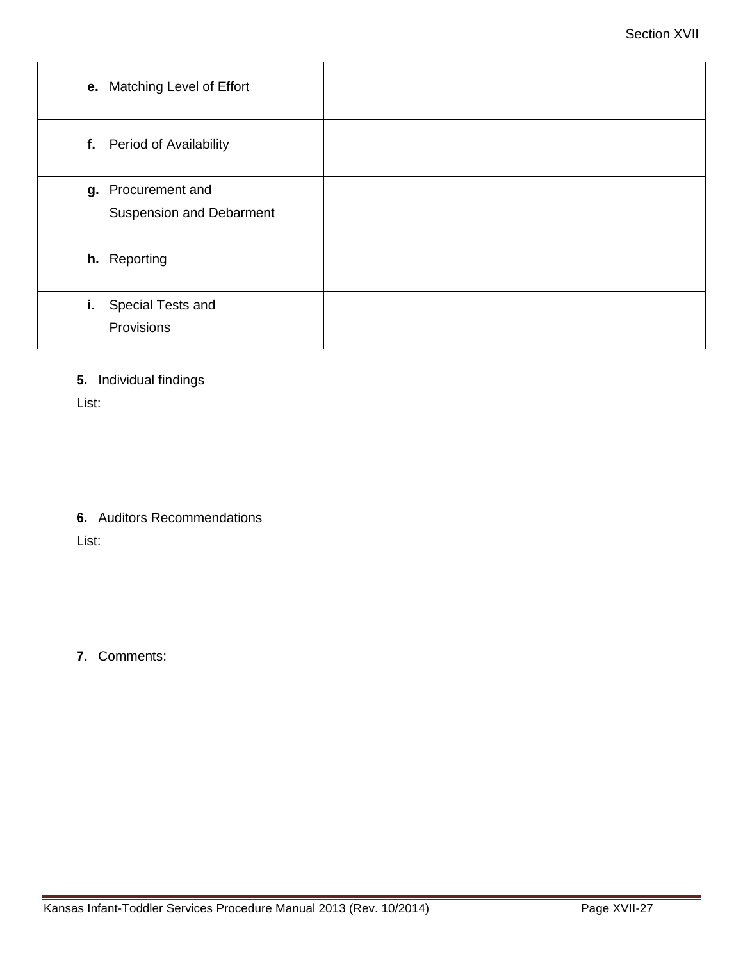| e. Matching Level of Effort                           |  |
|-------------------------------------------------------|--|
| f. Period of Availability                             |  |
| g. Procurement and<br><b>Suspension and Debarment</b> |  |
| h. Reporting                                          |  |
| Special Tests and<br>i.<br>Provisions                 |  |

**5.** Individual findings

List:

**6.** Auditors Recommendations

List:

**7.** Comments: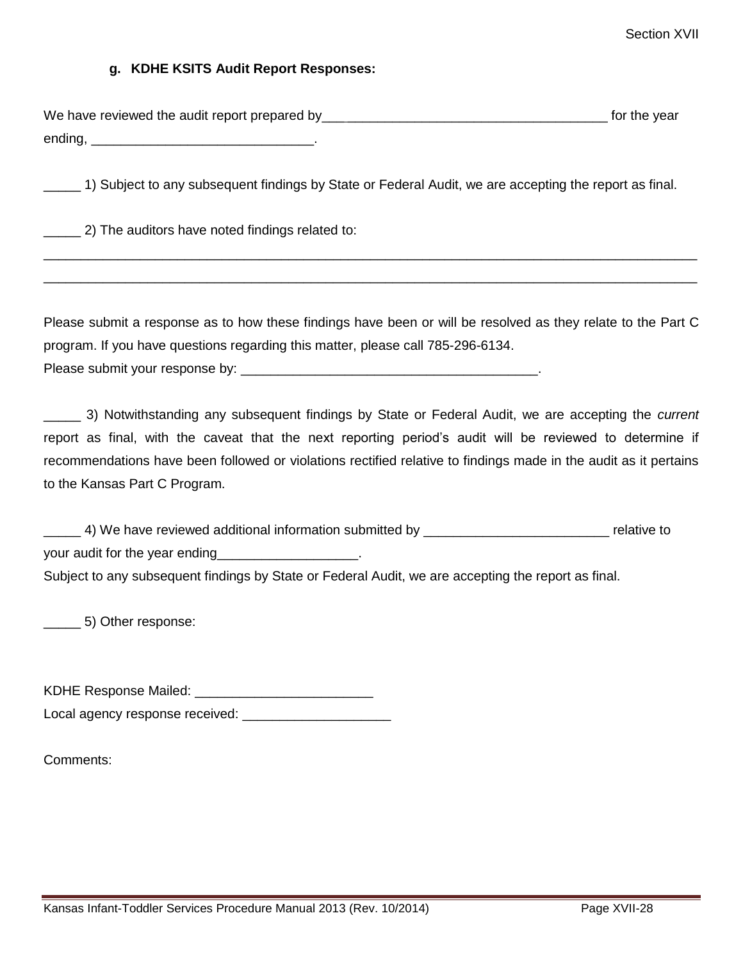#### **g. KDHE KSITS Audit Report Responses:**

| We have reviewed the audit report prepared by | for the year |
|-----------------------------------------------|--------------|
| ending,                                       |              |

\_\_\_\_ 1) Subject to any subsequent findings by State or Federal Audit, we are accepting the report as final.

\_\_\_\_\_ 2) The auditors have noted findings related to:

Please submit a response as to how these findings have been or will be resolved as they relate to the Part C program. If you have questions regarding this matter, please call 785-296-6134. Please submit your response by:  $\Box$ 

\_\_\_\_\_\_\_\_\_\_\_\_\_\_\_\_\_\_\_\_\_\_\_\_\_\_\_\_\_\_\_\_\_\_\_\_\_\_\_\_\_\_\_\_\_\_\_\_\_\_\_\_\_\_\_\_\_\_\_\_\_\_\_\_\_\_\_\_\_\_\_\_\_\_\_\_\_\_\_\_\_\_\_\_\_\_\_\_ \_\_\_\_\_\_\_\_\_\_\_\_\_\_\_\_\_\_\_\_\_\_\_\_\_\_\_\_\_\_\_\_\_\_\_\_\_\_\_\_\_\_\_\_\_\_\_\_\_\_\_\_\_\_\_\_\_\_\_\_\_\_\_\_\_\_\_\_\_\_\_\_\_\_\_\_\_\_\_\_\_\_\_\_\_\_\_\_

\_\_\_\_\_ 3) Notwithstanding any subsequent findings by State or Federal Audit, we are accepting the *current* report as final, with the caveat that the next reporting period's audit will be reviewed to determine if recommendations have been followed or violations rectified relative to findings made in the audit as it pertains to the Kansas Part C Program.

\_\_\_\_\_ 4) We have reviewed additional information submitted by \_\_\_\_\_\_\_\_\_\_\_\_\_\_\_\_\_\_\_\_\_\_\_\_\_ relative to your audit for the year ending Subject to any subsequent findings by State or Federal Audit, we are accepting the report as final.

\_\_\_\_\_ 5) Other response:

KDHE Response Mailed:

Local agency response received: \_\_\_\_\_\_\_\_\_\_\_\_\_\_\_\_\_\_\_\_

Comments: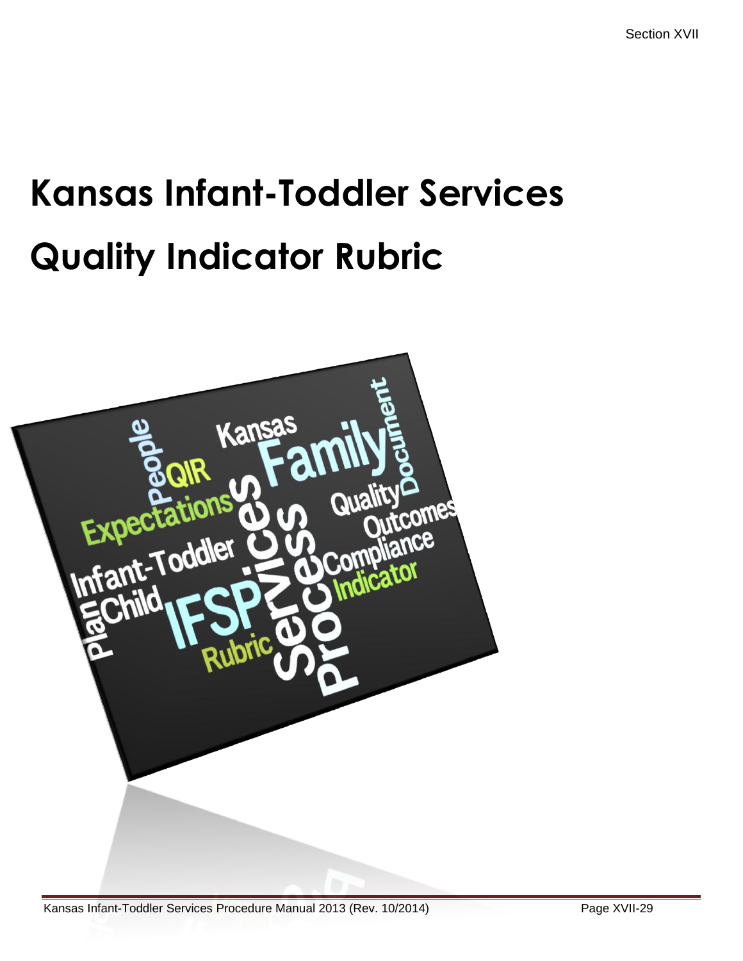# **Kansas Infant-Toddler Services Quality Indicator Rubric**

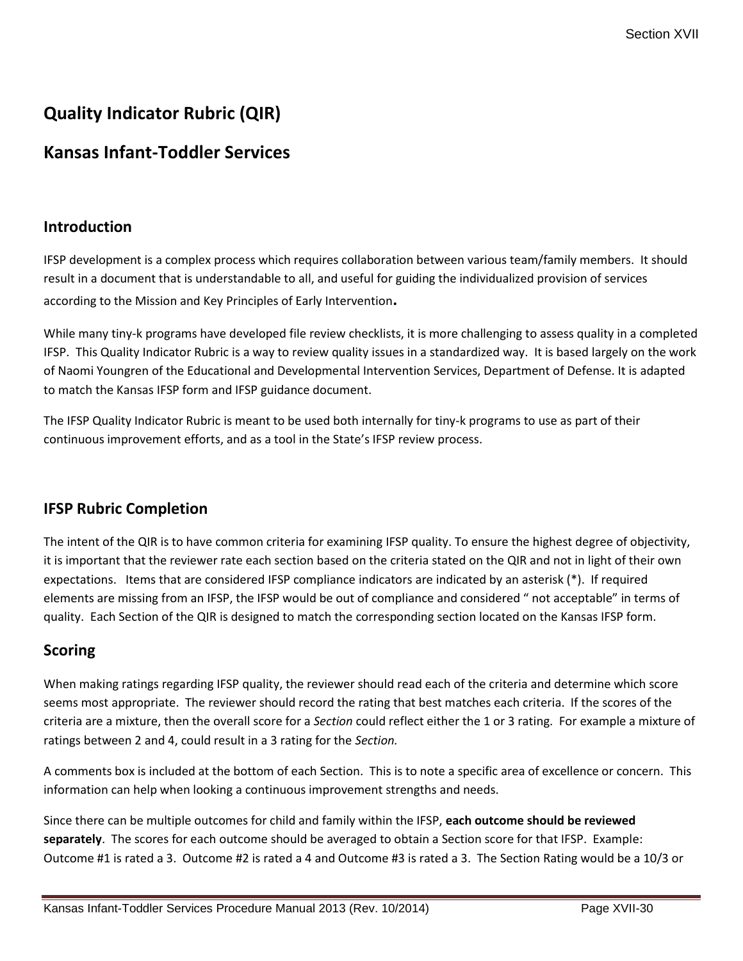# **Quality Indicator Rubric (QIR)**

# **Kansas Infant-Toddler Services**

# **Introduction**

IFSP development is a complex process which requires collaboration between various team/family members. It should result in a document that is understandable to all, and useful for guiding the individualized provision of services according to the Mission and Key Principles of Early Intervention**.**

While many tiny-k programs have developed file review checklists, it is more challenging to assess quality in a completed IFSP. This Quality Indicator Rubric is a way to review quality issues in a standardized way. It is based largely on the work of Naomi Youngren of the Educational and Developmental Intervention Services, Department of Defense. It is adapted to match the Kansas IFSP form and IFSP guidance document.

The IFSP Quality Indicator Rubric is meant to be used both internally for tiny-k programs to use as part of their continuous improvement efforts, and as a tool in the State's IFSP review process.

# **IFSP Rubric Completion**

The intent of the QIR is to have common criteria for examining IFSP quality. To ensure the highest degree of objectivity, it is important that the reviewer rate each section based on the criteria stated on the QIR and not in light of their own expectations. Items that are considered IFSP compliance indicators are indicated by an asterisk (\*). If required elements are missing from an IFSP, the IFSP would be out of compliance and considered " not acceptable" in terms of quality. Each Section of the QIR is designed to match the corresponding section located on the Kansas IFSP form.

# **Scoring**

When making ratings regarding IFSP quality, the reviewer should read each of the criteria and determine which score seems most appropriate. The reviewer should record the rating that best matches each criteria. If the scores of the criteria are a mixture, then the overall score for a *Section* could reflect either the 1 or 3 rating. For example a mixture of ratings between 2 and 4, could result in a 3 rating for the *Section.*

A comments box is included at the bottom of each Section. This is to note a specific area of excellence or concern. This information can help when looking a continuous improvement strengths and needs.

Since there can be multiple outcomes for child and family within the IFSP, **each outcome should be reviewed separately**. The scores for each outcome should be averaged to obtain a Section score for that IFSP. Example: Outcome #1 is rated a 3. Outcome #2 is rated a 4 and Outcome #3 is rated a 3. The Section Rating would be a 10/3 or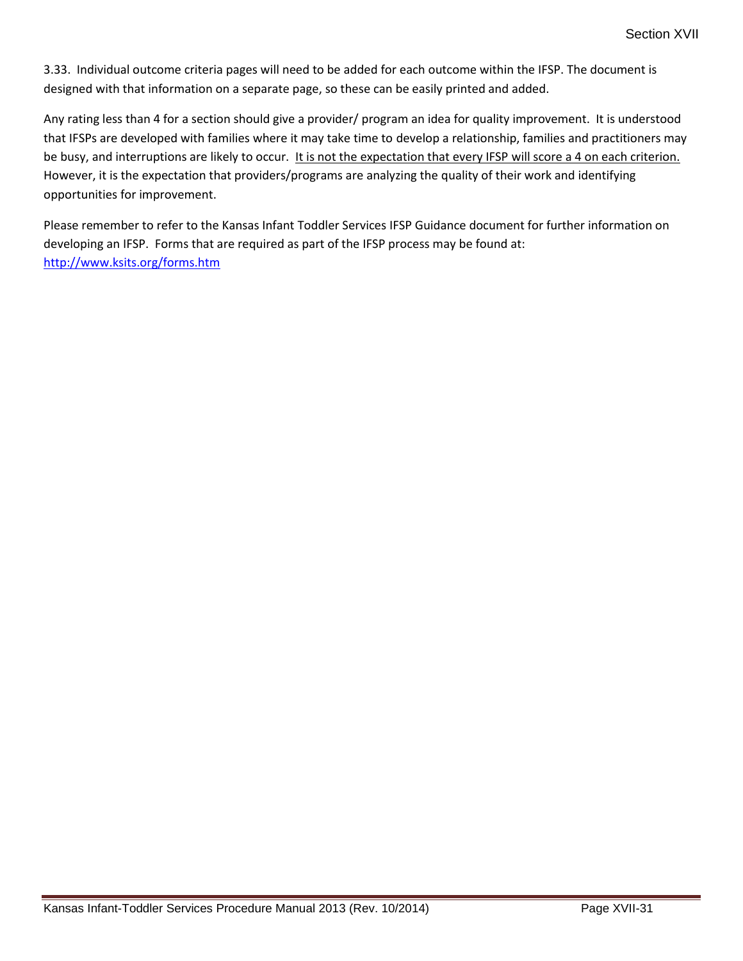3.33. Individual outcome criteria pages will need to be added for each outcome within the IFSP. The document is designed with that information on a separate page, so these can be easily printed and added.

Any rating less than 4 for a section should give a provider/ program an idea for quality improvement. It is understood that IFSPs are developed with families where it may take time to develop a relationship, families and practitioners may be busy, and interruptions are likely to occur. It is not the expectation that every IFSP will score a 4 on each criterion. However, it is the expectation that providers/programs are analyzing the quality of their work and identifying opportunities for improvement.

Please remember to refer to the Kansas Infant Toddler Services IFSP Guidance document for further information on developing an IFSP. Forms that are required as part of the IFSP process may be found at: <http://www.ksits.org/forms.htm>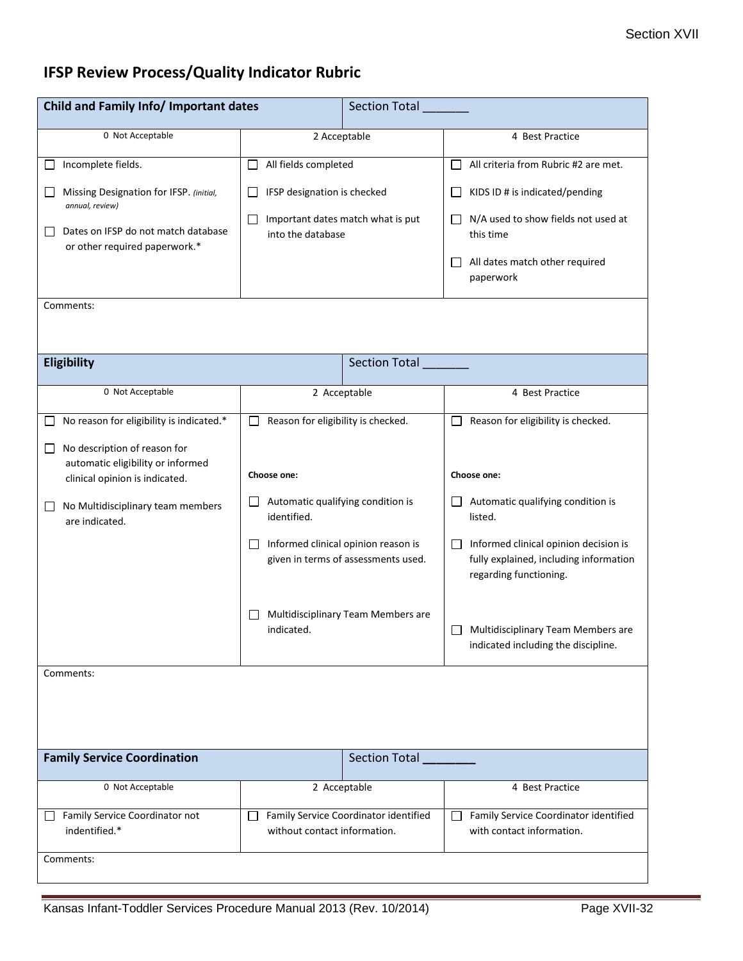# **IFSP Review Process/Quality Indicator Rubric**

| Child and Family Info/ Important dates                                                                   |                                                                                      | <b>Section Total</b> |                                                                                                           |  |
|----------------------------------------------------------------------------------------------------------|--------------------------------------------------------------------------------------|----------------------|-----------------------------------------------------------------------------------------------------------|--|
| 0 Not Acceptable                                                                                         | 2 Acceptable                                                                         |                      | 4 Best Practice                                                                                           |  |
| Incomplete fields.                                                                                       | All fields completed<br>$\Box$                                                       |                      | All criteria from Rubric #2 are met.<br>$\Box$                                                            |  |
| Missing Designation for IFSP. (initial,<br>annual, review)                                               | IFSP designation is checked<br>ΙI                                                    |                      | KIDS ID # is indicated/pending<br>$\mathsf{L}$                                                            |  |
| Dates on IFSP do not match database<br>or other required paperwork.*                                     | Important dates match what is put<br>$\Box$<br>into the database                     |                      | N/A used to show fields not used at<br>$\mathsf{L}$<br>this time                                          |  |
|                                                                                                          |                                                                                      |                      | All dates match other required<br>$\perp$<br>paperwork                                                    |  |
| Comments:                                                                                                |                                                                                      |                      |                                                                                                           |  |
|                                                                                                          |                                                                                      |                      |                                                                                                           |  |
| Eligibility                                                                                              | Section Total                                                                        |                      |                                                                                                           |  |
| 0 Not Acceptable                                                                                         | 2 Acceptable                                                                         |                      | 4 Best Practice                                                                                           |  |
| No reason for eligibility is indicated.*                                                                 | Reason for eligibility is checked.                                                   |                      | Reason for eligibility is checked.                                                                        |  |
| No description of reason for<br>□<br>automatic eligibility or informed<br>clinical opinion is indicated. | Choose one:                                                                          |                      | Choose one:                                                                                               |  |
| No Multidisciplinary team members<br>$\Box$<br>are indicated.                                            | Automatic qualifying condition is<br>ΙI<br>identified.                               |                      | Automatic qualifying condition is<br>ΙI<br>listed.                                                        |  |
|                                                                                                          | Informed clinical opinion reason is<br>$\Box$<br>given in terms of assessments used. |                      | Informed clinical opinion decision is<br>fully explained, including information<br>regarding functioning. |  |
|                                                                                                          | Multidisciplinary Team Members are<br>$\mathsf{L}$<br>indicated.                     |                      | Multidisciplinary Team Members are<br>indicated including the discipline.                                 |  |
| Comments:                                                                                                |                                                                                      |                      |                                                                                                           |  |
|                                                                                                          |                                                                                      |                      |                                                                                                           |  |
| <b>Family Service Coordination</b>                                                                       |                                                                                      | Section Total        |                                                                                                           |  |
| 0 Not Acceptable                                                                                         | 2 Acceptable                                                                         |                      | 4 Best Practice                                                                                           |  |
| Family Service Coordinator not<br>indentified.*                                                          | Family Service Coordinator identified<br>$\Box$<br>without contact information.      |                      | Family Service Coordinator identified<br>П<br>with contact information.                                   |  |
| Comments:                                                                                                |                                                                                      |                      |                                                                                                           |  |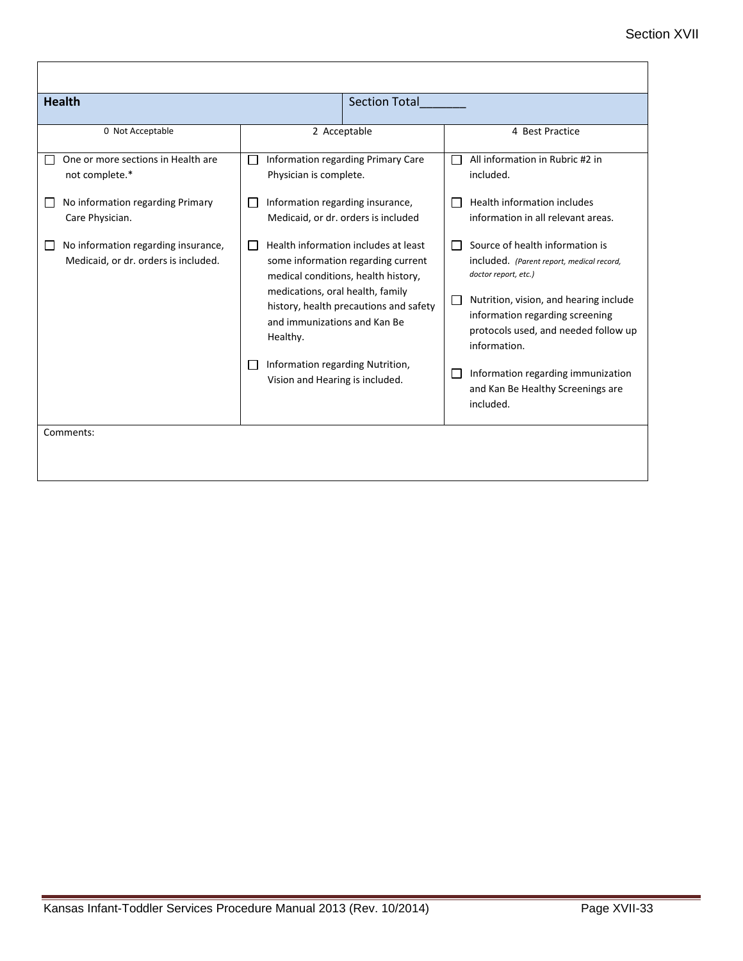| <b>Health</b>                                                               |                                                                                                                                                                                                                                                             | <b>Section Total</b> |                                                                                                                                                                                                                                           |
|-----------------------------------------------------------------------------|-------------------------------------------------------------------------------------------------------------------------------------------------------------------------------------------------------------------------------------------------------------|----------------------|-------------------------------------------------------------------------------------------------------------------------------------------------------------------------------------------------------------------------------------------|
| 0 Not Acceptable                                                            | 2 Acceptable                                                                                                                                                                                                                                                |                      | 4 Best Practice                                                                                                                                                                                                                           |
| One or more sections in Health are<br>not complete.*                        | Information regarding Primary Care<br>$\Box$<br>Physician is complete.                                                                                                                                                                                      |                      | All information in Rubric #2 in<br>included.                                                                                                                                                                                              |
| No information regarding Primary<br>Care Physician.                         | Information regarding insurance,<br>$\mathbf{I}$<br>Medicaid, or dr. orders is included                                                                                                                                                                     |                      | Health information includes<br>information in all relevant areas.                                                                                                                                                                         |
| No information regarding insurance,<br>Medicaid, or dr. orders is included. | Health information includes at least<br>$\mathbf{L}$<br>some information regarding current<br>medical conditions, health history,<br>medications, oral health, family<br>history, health precautions and safety<br>and immunizations and Kan Be<br>Healthy. |                      | Source of health information is<br>included. (Parent report, medical record,<br>doctor report, etc.)<br>Nutrition, vision, and hearing include<br>information regarding screening<br>protocols used, and needed follow up<br>information. |
|                                                                             | Information regarding Nutrition,<br>$\mathbf{I}$<br>Vision and Hearing is included.                                                                                                                                                                         |                      | Information regarding immunization<br>and Kan Be Healthy Screenings are<br>included.                                                                                                                                                      |
| Comments:                                                                   |                                                                                                                                                                                                                                                             |                      |                                                                                                                                                                                                                                           |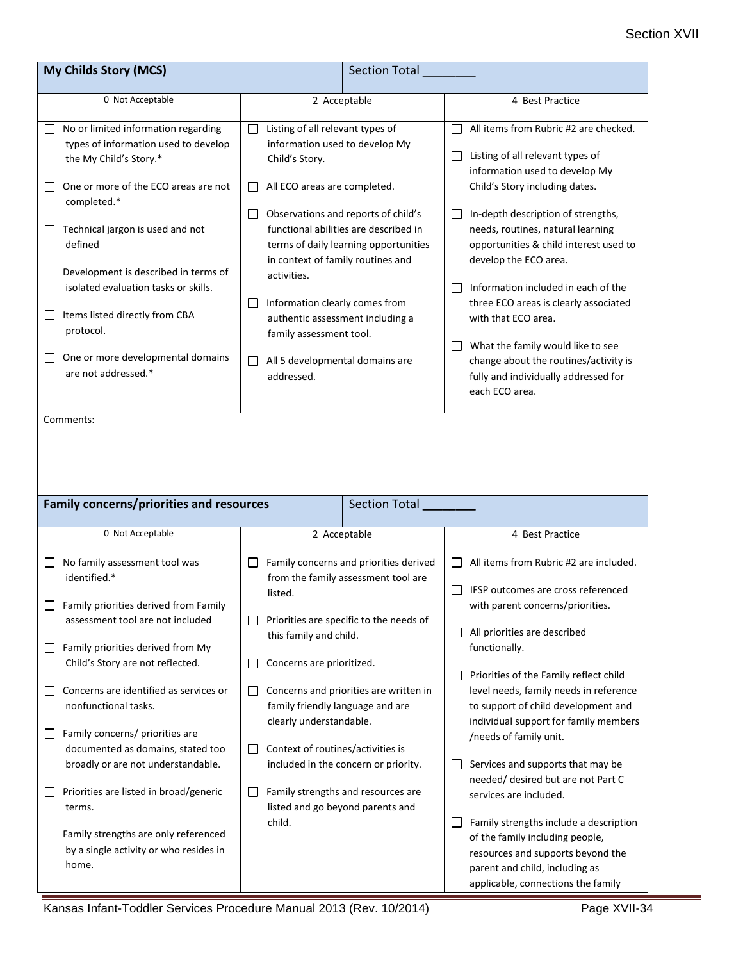| My Childs Story (MCS)                                                                                                                                                                                                                                                     |                                                                                                                                                                                                                                                                          | <b>Section Total</b>                                                                                                     |                                                                                                                                                                                                                                                                                                                                                                                                     |
|---------------------------------------------------------------------------------------------------------------------------------------------------------------------------------------------------------------------------------------------------------------------------|--------------------------------------------------------------------------------------------------------------------------------------------------------------------------------------------------------------------------------------------------------------------------|--------------------------------------------------------------------------------------------------------------------------|-----------------------------------------------------------------------------------------------------------------------------------------------------------------------------------------------------------------------------------------------------------------------------------------------------------------------------------------------------------------------------------------------------|
| 0 Not Acceptable                                                                                                                                                                                                                                                          | 2 Acceptable                                                                                                                                                                                                                                                             |                                                                                                                          | 4 Best Practice                                                                                                                                                                                                                                                                                                                                                                                     |
| No or limited information regarding<br>types of information used to develop<br>the My Child's Story.*<br>One or more of the ECO areas are not                                                                                                                             | Listing of all relevant types of<br>$\Box$<br>information used to develop My<br>Child's Story.<br>All ECO areas are completed.<br>$\mathsf{L}$                                                                                                                           |                                                                                                                          | All items from Rubric #2 are checked.<br>$\blacksquare$<br>Listing of all relevant types of<br>ш<br>information used to develop My<br>Child's Story including dates.                                                                                                                                                                                                                                |
| completed.*<br>Technical jargon is used and not<br>ப<br>defined<br>Development is described in terms of<br>ப<br>isolated evaluation tasks or skills.<br>Items listed directly from CBA<br>ப<br>protocol.<br>One or more developmental domains<br>ப<br>are not addressed.* | Observations and reports of child's<br>U<br>in context of family routines and<br>activities.<br>Information clearly comes from<br>$\Box$<br>authentic assessment including a<br>family assessment tool.<br>All 5 developmental domains are<br>$\mathsf{L}$<br>addressed. | functional abilities are described in<br>terms of daily learning opportunities                                           | In-depth description of strengths,<br>Ш<br>needs, routines, natural learning<br>opportunities & child interest used to<br>develop the ECO area.<br>Information included in each of the<br>three ECO areas is clearly associated<br>with that ECO area.<br>What the family would like to see<br>ப<br>change about the routines/activity is<br>fully and individually addressed for<br>each ECO area. |
| Comments:                                                                                                                                                                                                                                                                 |                                                                                                                                                                                                                                                                          |                                                                                                                          |                                                                                                                                                                                                                                                                                                                                                                                                     |
|                                                                                                                                                                                                                                                                           |                                                                                                                                                                                                                                                                          |                                                                                                                          |                                                                                                                                                                                                                                                                                                                                                                                                     |
| <b>Family concerns/priorities and resources</b>                                                                                                                                                                                                                           |                                                                                                                                                                                                                                                                          | Section Total                                                                                                            |                                                                                                                                                                                                                                                                                                                                                                                                     |
| 0 Not Acceptable                                                                                                                                                                                                                                                          | 2 Acceptable                                                                                                                                                                                                                                                             |                                                                                                                          | 4 Best Practice                                                                                                                                                                                                                                                                                                                                                                                     |
| No family assessment tool was<br>identified.*<br>Family priorities derived from Family<br>assessment tool are not included<br>Family priorities derived from My<br>Child's Story are not reflected.                                                                       | listed.<br>this family and child.<br>Concerns are prioritized.<br>$\mathsf{L}$                                                                                                                                                                                           | Family concerns and priorities derived<br>from the family assessment tool are<br>Priorities are specific to the needs of | All items from Rubric #2 are included.<br>$\perp$<br>IFSP outcomes are cross referenced<br>with parent concerns/priorities.<br>All priorities are described<br>⊔<br>functionally.                                                                                                                                                                                                                   |
| Concerns are identified as services or<br>nonfunctional tasks.<br>Family concerns/ priorities are<br>documented as domains, stated too                                                                                                                                    | ⊔<br>family friendly language and are<br>clearly understandable.<br>Context of routines/activities is<br>$\Box$                                                                                                                                                          | Concerns and priorities are written in                                                                                   | Priorities of the Family reflect child<br>level needs, family needs in reference<br>to support of child development and<br>individual support for family members<br>/needs of family unit.                                                                                                                                                                                                          |
| broadly or are not understandable.<br>Priorities are listed in broad/generic<br>terms.<br>Family strengths are only referenced<br>by a single activity or who resides in<br>home.                                                                                         | Family strengths and resources are<br>$\mathsf{L}$<br>listed and go beyond parents and<br>child.                                                                                                                                                                         | included in the concern or priority.                                                                                     | Services and supports that may be<br>needed/ desired but are not Part C<br>services are included.<br>Family strengths include a description<br>of the family including people,<br>resources and supports beyond the<br>parent and child, including as                                                                                                                                               |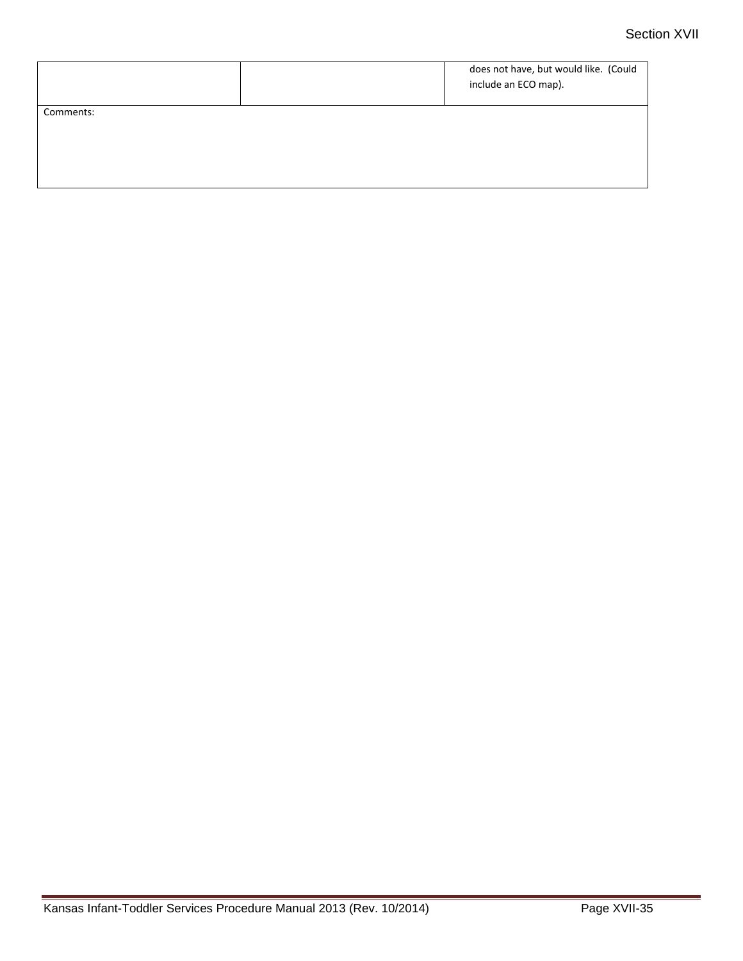|           | does not have, but would like. (Could<br>include an ECO map). |
|-----------|---------------------------------------------------------------|
| Comments: |                                                               |
|           |                                                               |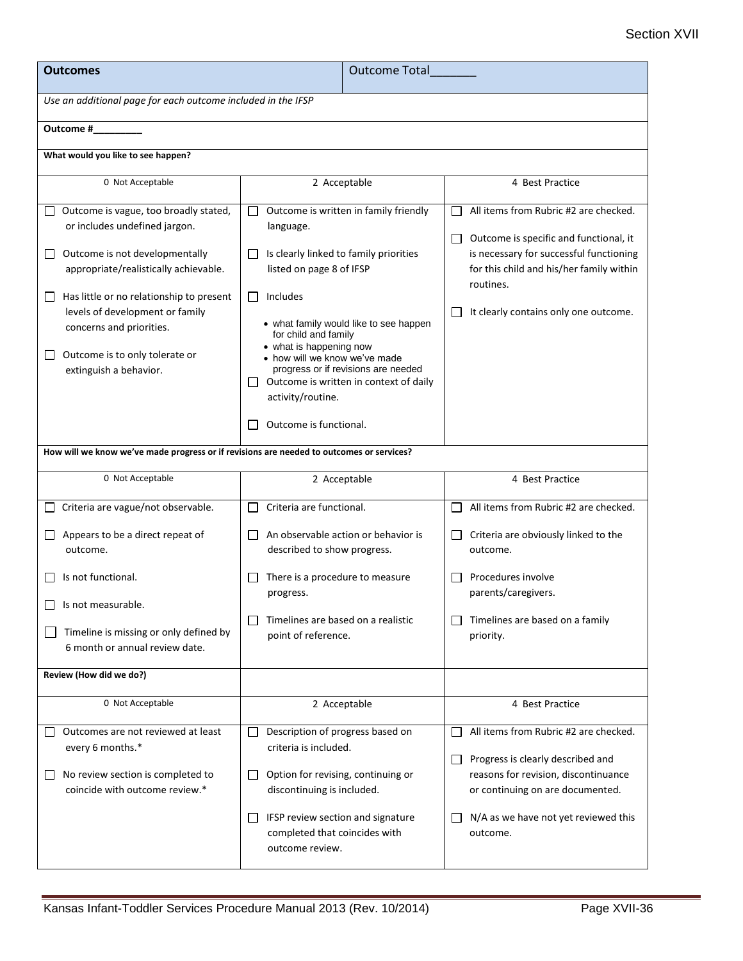| <b>Outcomes</b>                                                                                                                                                                                                                                                                                                                              | <b>Outcome Total</b>                                                                                                                                                                                                                                                                                                                                                                                                |                                                                                                                                                                                                                                        |  |  |
|----------------------------------------------------------------------------------------------------------------------------------------------------------------------------------------------------------------------------------------------------------------------------------------------------------------------------------------------|---------------------------------------------------------------------------------------------------------------------------------------------------------------------------------------------------------------------------------------------------------------------------------------------------------------------------------------------------------------------------------------------------------------------|----------------------------------------------------------------------------------------------------------------------------------------------------------------------------------------------------------------------------------------|--|--|
| Use an additional page for each outcome included in the IFSP                                                                                                                                                                                                                                                                                 |                                                                                                                                                                                                                                                                                                                                                                                                                     |                                                                                                                                                                                                                                        |  |  |
| Outcome #                                                                                                                                                                                                                                                                                                                                    |                                                                                                                                                                                                                                                                                                                                                                                                                     |                                                                                                                                                                                                                                        |  |  |
| What would you like to see happen?                                                                                                                                                                                                                                                                                                           |                                                                                                                                                                                                                                                                                                                                                                                                                     |                                                                                                                                                                                                                                        |  |  |
| 0 Not Acceptable                                                                                                                                                                                                                                                                                                                             | 2 Acceptable                                                                                                                                                                                                                                                                                                                                                                                                        | 4 Best Practice                                                                                                                                                                                                                        |  |  |
| Outcome is vague, too broadly stated,<br>or includes undefined jargon.<br>Outcome is not developmentally<br>ப<br>appropriate/realistically achievable.<br>Has little or no relationship to present<br>$\Box$<br>levels of development or family<br>concerns and priorities.<br>Outcome is to only tolerate or<br>ப<br>extinguish a behavior. | Outcome is written in family friendly<br>$\mathbf{L}$<br>language.<br>Is clearly linked to family priorities<br>$\perp$<br>listed on page 8 of IFSP<br>Includes<br>⊔<br>• what family would like to see happen<br>for child and family<br>• what is happening now<br>• how will we know we've made<br>progress or if revisions are needed<br>Outcome is written in context of daily<br>$\perp$<br>activity/routine. | All items from Rubric #2 are checked.<br>Outcome is specific and functional, it<br>$\Box$<br>is necessary for successful functioning<br>for this child and his/her family within<br>routines.<br>It clearly contains only one outcome. |  |  |
|                                                                                                                                                                                                                                                                                                                                              | Outcome is functional.<br>L                                                                                                                                                                                                                                                                                                                                                                                         |                                                                                                                                                                                                                                        |  |  |
| How will we know we've made progress or if revisions are needed to outcomes or services?                                                                                                                                                                                                                                                     |                                                                                                                                                                                                                                                                                                                                                                                                                     |                                                                                                                                                                                                                                        |  |  |
| 0 Not Acceptable                                                                                                                                                                                                                                                                                                                             | 2 Acceptable                                                                                                                                                                                                                                                                                                                                                                                                        | 4 Best Practice                                                                                                                                                                                                                        |  |  |
| Criteria are vague/not observable.                                                                                                                                                                                                                                                                                                           | Criteria are functional.<br>$\perp$                                                                                                                                                                                                                                                                                                                                                                                 | All items from Rubric #2 are checked.                                                                                                                                                                                                  |  |  |
| Appears to be a direct repeat of<br>outcome.                                                                                                                                                                                                                                                                                                 | An observable action or behavior is<br>$\mathsf{L}$<br>described to show progress.                                                                                                                                                                                                                                                                                                                                  | Criteria are obviously linked to the<br>outcome.                                                                                                                                                                                       |  |  |
| Is not functional.<br>$\Box$ Is not measurable.<br>Timeline is missing or only defined by<br>6 month or annual review date.                                                                                                                                                                                                                  | There is a procedure to measure<br>L<br>progress.<br>Timelines are based on a realistic<br>$\Box$<br>point of reference.                                                                                                                                                                                                                                                                                            | Procedures involve<br>parents/caregivers.<br>Timelines are based on a family<br>priority.                                                                                                                                              |  |  |
| Review (How did we do?)                                                                                                                                                                                                                                                                                                                      |                                                                                                                                                                                                                                                                                                                                                                                                                     |                                                                                                                                                                                                                                        |  |  |
| 0 Not Acceptable                                                                                                                                                                                                                                                                                                                             | 2 Acceptable                                                                                                                                                                                                                                                                                                                                                                                                        | 4 Best Practice                                                                                                                                                                                                                        |  |  |
| Outcomes are not reviewed at least<br>every 6 months.*<br>No review section is completed to<br>coincide with outcome review.*                                                                                                                                                                                                                | Description of progress based on<br>$\Box$<br>criteria is included.<br>Option for revising, continuing or<br>ப<br>discontinuing is included.<br>IFSP review section and signature<br>ப<br>completed that coincides with<br>outcome review.                                                                                                                                                                          | All items from Rubric #2 are checked.<br>Progress is clearly described and<br>╹⅃<br>reasons for revision, discontinuance<br>or continuing on are documented.<br>N/A as we have not yet reviewed this<br>outcome.                       |  |  |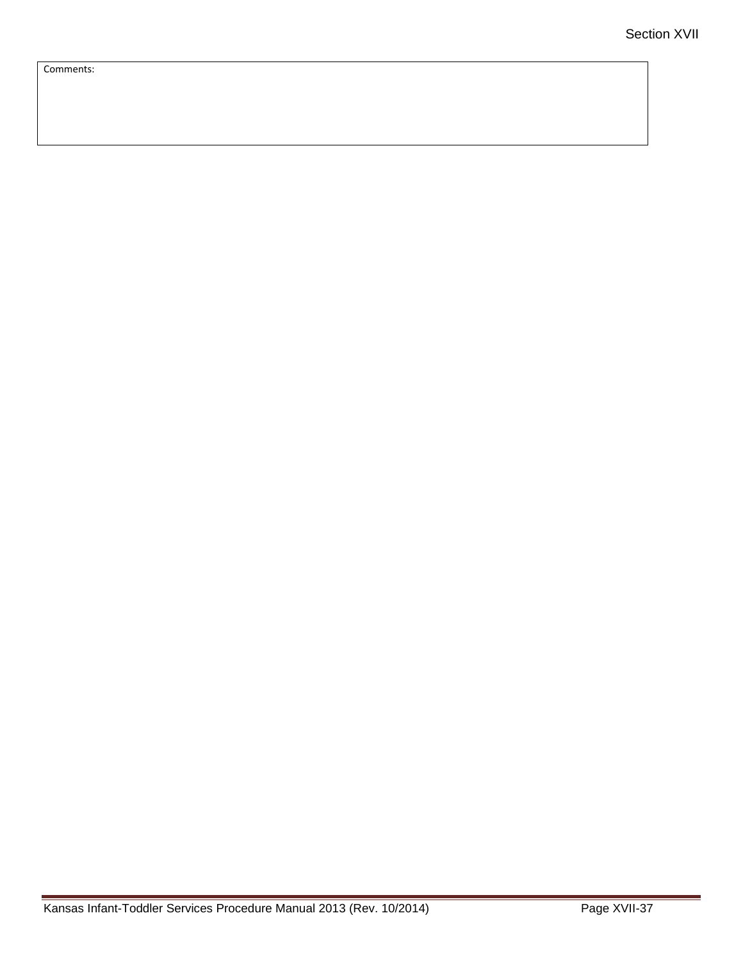Comments: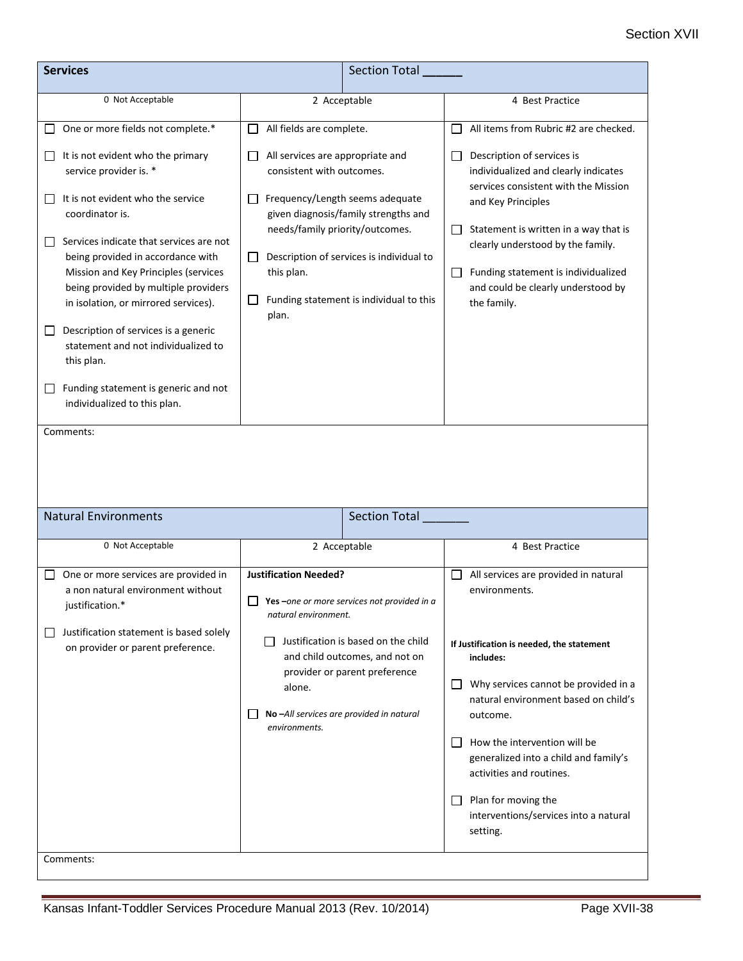## Section XVII

| <b>Services</b>                                                                                                                                                                                                                                                                                                                                                                                                                                                                                                                                                                                             | <b>Section Total</b>                                                                                                                                                                                                                                                                                                                       |                                                                                                                                                                                                                                                                                                                                                                                                        |
|-------------------------------------------------------------------------------------------------------------------------------------------------------------------------------------------------------------------------------------------------------------------------------------------------------------------------------------------------------------------------------------------------------------------------------------------------------------------------------------------------------------------------------------------------------------------------------------------------------------|--------------------------------------------------------------------------------------------------------------------------------------------------------------------------------------------------------------------------------------------------------------------------------------------------------------------------------------------|--------------------------------------------------------------------------------------------------------------------------------------------------------------------------------------------------------------------------------------------------------------------------------------------------------------------------------------------------------------------------------------------------------|
| 0 Not Acceptable                                                                                                                                                                                                                                                                                                                                                                                                                                                                                                                                                                                            | 2 Acceptable                                                                                                                                                                                                                                                                                                                               | 4 Best Practice                                                                                                                                                                                                                                                                                                                                                                                        |
| One or more fields not complete.*<br>It is not evident who the primary<br>$\mathsf{L}$<br>service provider is. *<br>It is not evident who the service<br>$\mathbf{I}$<br>coordinator is.<br>Services indicate that services are not<br>being provided in accordance with<br>Mission and Key Principles (services<br>being provided by multiple providers<br>in isolation, or mirrored services).<br>Description of services is a generic<br>$\overline{\phantom{a}}$<br>statement and not individualized to<br>this plan.<br>Funding statement is generic and not<br>$\Box$<br>individualized to this plan. | All fields are complete.<br>ΙI<br>All services are appropriate and<br>consistent with outcomes.<br>Frequency/Length seems adequate<br>given diagnosis/family strengths and<br>needs/family priority/outcomes.<br>Description of services is individual to<br>$\Box$<br>this plan.<br>Funding statement is individual to this<br>ப<br>plan. | All items from Rubric #2 are checked.<br>$\Box$<br>Description of services is<br>$\Box$<br>individualized and clearly indicates<br>services consistent with the Mission<br>and Key Principles<br>Statement is written in a way that is<br>$\Box$<br>clearly understood by the family.<br>Funding statement is individualized<br>$\Box$<br>and could be clearly understood by<br>the family.            |
| Comments:<br><b>Natural Environments</b>                                                                                                                                                                                                                                                                                                                                                                                                                                                                                                                                                                    | Section Total                                                                                                                                                                                                                                                                                                                              |                                                                                                                                                                                                                                                                                                                                                                                                        |
| 0 Not Acceptable                                                                                                                                                                                                                                                                                                                                                                                                                                                                                                                                                                                            | 2 Acceptable                                                                                                                                                                                                                                                                                                                               | 4 Best Practice                                                                                                                                                                                                                                                                                                                                                                                        |
| One or more services are provided in<br>a non natural environment without<br>justification.*<br>Justification statement is based solely<br>$\mathsf{L}$<br>on provider or parent preference.<br>Comments:                                                                                                                                                                                                                                                                                                                                                                                                   | <b>Justification Needed?</b><br>$\Box$ Yes –one or more services not provided in a<br>natural environment.<br>Justification is based on the child<br>and child outcomes, and not on<br>provider or parent preference<br>alone.<br>No-All services are provided in natural<br>environments.                                                 | All services are provided in natural<br>environments.<br>If Justification is needed, the statement<br>includes:<br>Why services cannot be provided in a<br>natural environment based on child's<br>outcome.<br>How the intervention will be<br>generalized into a child and family's<br>activities and routines.<br>Plan for moving the<br>$\Box$<br>interventions/services into a natural<br>setting. |
|                                                                                                                                                                                                                                                                                                                                                                                                                                                                                                                                                                                                             |                                                                                                                                                                                                                                                                                                                                            |                                                                                                                                                                                                                                                                                                                                                                                                        |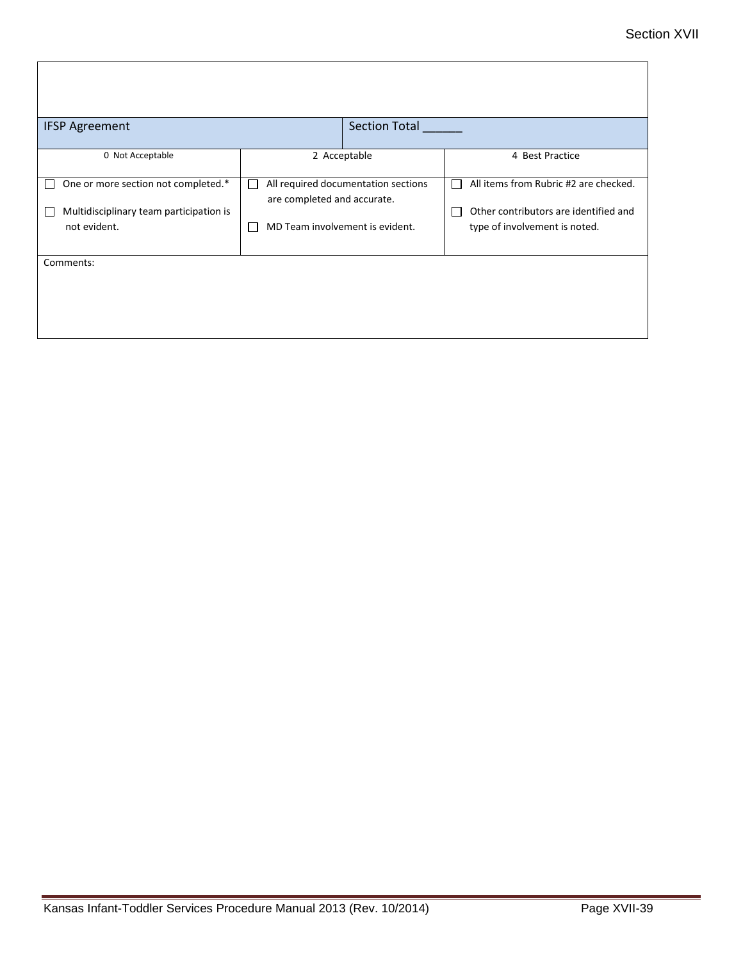| <b>IFSP Agreement</b>                                                                          | <b>Section Total</b>                                                                                                       |                                                                                                                                      |
|------------------------------------------------------------------------------------------------|----------------------------------------------------------------------------------------------------------------------------|--------------------------------------------------------------------------------------------------------------------------------------|
| 0 Not Acceptable                                                                               | 2 Acceptable                                                                                                               | 4 Best Practice                                                                                                                      |
| One or more section not completed.*<br>Multidisciplinary team participation is<br>not evident. | All required documentation sections<br>L<br>are completed and accurate.<br>MD Team involvement is evident.<br>$\mathsf{L}$ | All items from Rubric #2 are checked.<br>П<br>Other contributors are identified and<br>$\mathbf{I}$<br>type of involvement is noted. |
| Comments:                                                                                      |                                                                                                                            |                                                                                                                                      |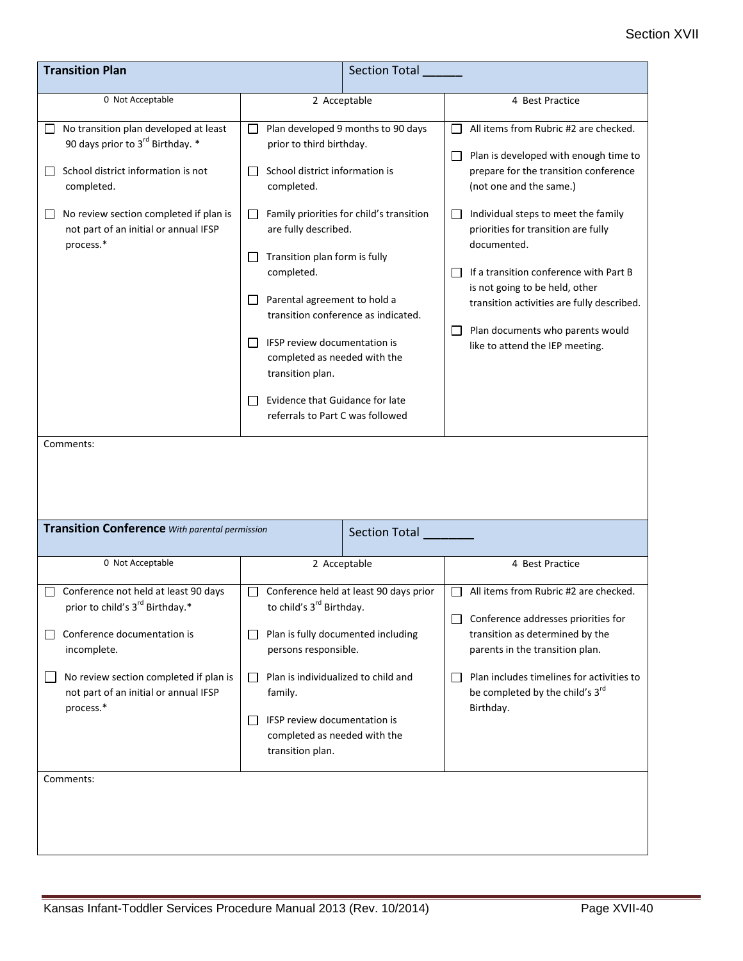| <b>Transition Plan</b>                                                                                                                                                                                                                    |                                                                                                                                                                                                                                                                                                                                                                                                                              | <b>Section Total</b>                                                                                                  |                                                                                                                                                                                                                                                                                                                                                                                                                                                  |
|-------------------------------------------------------------------------------------------------------------------------------------------------------------------------------------------------------------------------------------------|------------------------------------------------------------------------------------------------------------------------------------------------------------------------------------------------------------------------------------------------------------------------------------------------------------------------------------------------------------------------------------------------------------------------------|-----------------------------------------------------------------------------------------------------------------------|--------------------------------------------------------------------------------------------------------------------------------------------------------------------------------------------------------------------------------------------------------------------------------------------------------------------------------------------------------------------------------------------------------------------------------------------------|
| 0 Not Acceptable                                                                                                                                                                                                                          | 2 Acceptable                                                                                                                                                                                                                                                                                                                                                                                                                 |                                                                                                                       | 4 Best Practice                                                                                                                                                                                                                                                                                                                                                                                                                                  |
| No transition plan developed at least<br>90 days prior to 3 <sup>rd</sup> Birthday. *<br>School district information is not<br>completed.<br>No review section completed if plan is<br>not part of an initial or annual IFSP<br>process.* | $\Box$<br>prior to third birthday.<br>School district information is<br>$\Box$<br>completed.<br>$\Box$<br>are fully described.<br>Transition plan form is fully<br>$\Box$<br>completed.<br>Parental agreement to hold a<br>$\Box$<br>IFSP review documentation is<br>$\mathsf{L}$<br>completed as needed with the<br>transition plan.<br>Evidence that Guidance for late<br>$\mathsf{L}$<br>referrals to Part C was followed | Plan developed 9 months to 90 days<br>Family priorities for child's transition<br>transition conference as indicated. | All items from Rubric #2 are checked.<br>Plan is developed with enough time to<br>prepare for the transition conference<br>(not one and the same.)<br>Individual steps to meet the family<br>priorities for transition are fully<br>documented.<br>If a transition conference with Part B<br>is not going to be held, other<br>transition activities are fully described.<br>Plan documents who parents would<br>like to attend the IEP meeting. |
| Comments:<br><b>Transition Conference</b> With parental permission<br><b>Section Total</b>                                                                                                                                                |                                                                                                                                                                                                                                                                                                                                                                                                                              |                                                                                                                       |                                                                                                                                                                                                                                                                                                                                                                                                                                                  |
| 0 Not Acceptable                                                                                                                                                                                                                          | 2 Acceptable                                                                                                                                                                                                                                                                                                                                                                                                                 |                                                                                                                       | 4 Best Practice                                                                                                                                                                                                                                                                                                                                                                                                                                  |
| Conference not held at least 90 days<br>prior to child's 3 <sup>rd</sup> Birthday.*<br>Conference documentation is<br>incomplete.<br>No review section completed if plan is<br>not part of an initial or annual IFSP<br>process.*         | Conference held at least 90 days prior<br>$\mathsf{L}$<br>to child's 3 <sup>rd</sup> Birthday.<br>Plan is fully documented including<br>ப<br>persons responsible.<br>Plan is individualized to child and<br>$\Box$<br>family.<br>IFSP review documentation is<br>$\mathsf{L}$<br>completed as needed with the<br>transition plan.                                                                                            |                                                                                                                       | All items from Rubric #2 are checked.<br>П<br>Conference addresses priorities for<br>transition as determined by the<br>parents in the transition plan.<br>Plan includes timelines for activities to<br>be completed by the child's 3rd<br>Birthday.                                                                                                                                                                                             |
| Comments:                                                                                                                                                                                                                                 |                                                                                                                                                                                                                                                                                                                                                                                                                              |                                                                                                                       |                                                                                                                                                                                                                                                                                                                                                                                                                                                  |